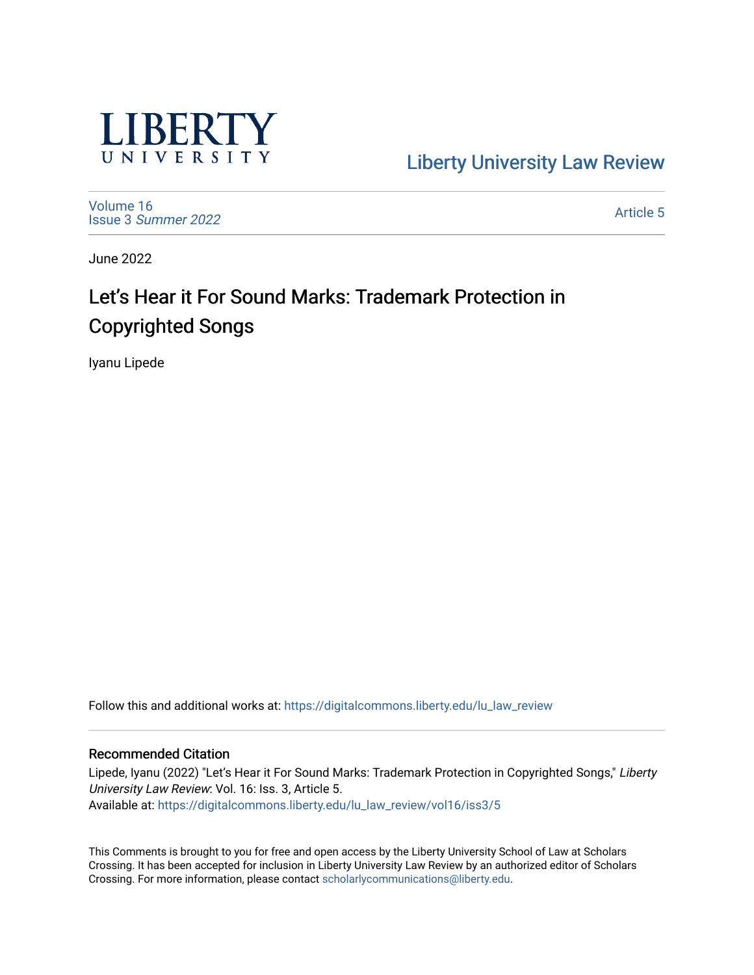

[Liberty University Law Review](https://digitalcommons.liberty.edu/lu_law_review) 

[Volume 16](https://digitalcommons.liberty.edu/lu_law_review/vol16) Issue 3 [Summer 2022](https://digitalcommons.liberty.edu/lu_law_review/vol16/iss3) 

[Article 5](https://digitalcommons.liberty.edu/lu_law_review/vol16/iss3/5) 

June 2022

# Let's Hear it For Sound Marks: Trademark Protection in Copyrighted Songs

Iyanu Lipede

Follow this and additional works at: [https://digitalcommons.liberty.edu/lu\\_law\\_review](https://digitalcommons.liberty.edu/lu_law_review?utm_source=digitalcommons.liberty.edu%2Flu_law_review%2Fvol16%2Fiss3%2F5&utm_medium=PDF&utm_campaign=PDFCoverPages) 

## Recommended Citation

Lipede, Iyanu (2022) "Let's Hear it For Sound Marks: Trademark Protection in Copyrighted Songs," Liberty University Law Review: Vol. 16: Iss. 3, Article 5. Available at: [https://digitalcommons.liberty.edu/lu\\_law\\_review/vol16/iss3/5](https://digitalcommons.liberty.edu/lu_law_review/vol16/iss3/5?utm_source=digitalcommons.liberty.edu%2Flu_law_review%2Fvol16%2Fiss3%2F5&utm_medium=PDF&utm_campaign=PDFCoverPages) 

This Comments is brought to you for free and open access by the Liberty University School of Law at Scholars Crossing. It has been accepted for inclusion in Liberty University Law Review by an authorized editor of Scholars Crossing. For more information, please contact [scholarlycommunications@liberty.edu](mailto:scholarlycommunications@liberty.edu).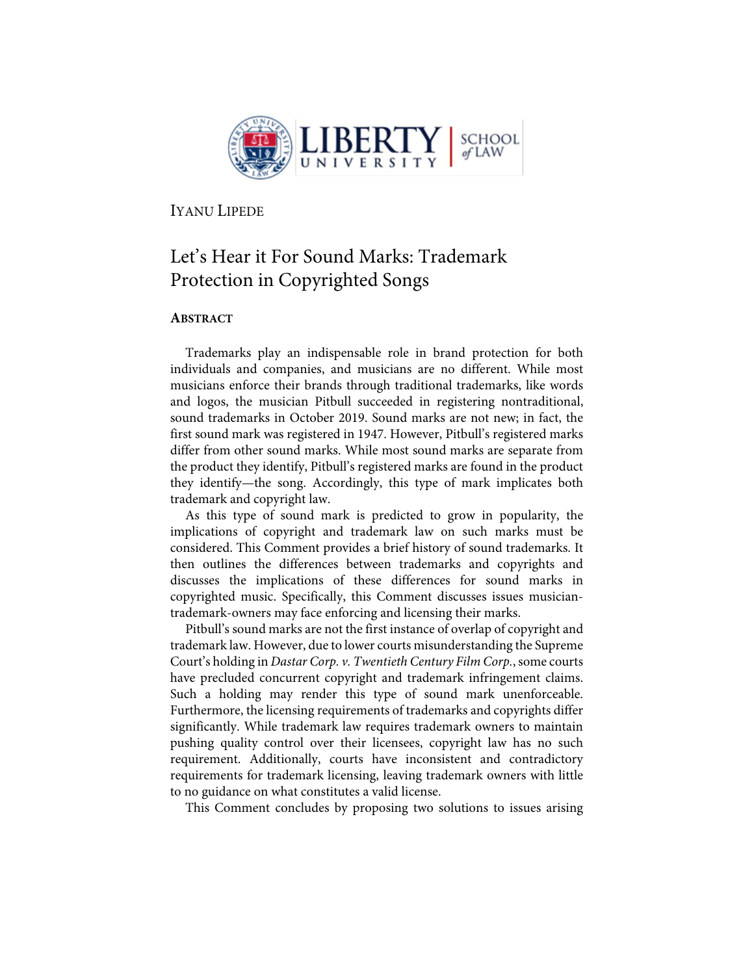

IYANU LIPEDE

## Let's Hear it For Sound Marks: Trademark Protection in Copyrighted Songs

## **ABSTRACT**

Trademarks play an indispensable role in brand protection for both individuals and companies, and musicians are no different. While most musicians enforce their brands through traditional trademarks, like words and logos, the musician Pitbull succeeded in registering nontraditional, sound trademarks in October 2019. Sound marks are not new; in fact, the first sound mark was registered in 1947. However, Pitbull's registered marks differ from other sound marks. While most sound marks are separate from the product they identify, Pitbull's registered marks are found in the product they identify—the song. Accordingly, this type of mark implicates both trademark and copyright law.

As this type of sound mark is predicted to grow in popularity, the implications of copyright and trademark law on such marks must be considered. This Comment provides a brief history of sound trademarks. It then outlines the differences between trademarks and copyrights and discusses the implications of these differences for sound marks in copyrighted music. Specifically, this Comment discusses issues musiciantrademark-owners may face enforcing and licensing their marks.

Pitbull's sound marks are not the first instance of overlap of copyright and trademark law. However, due to lower courts misunderstanding the Supreme Court's holding in *Dastar Corp. v. Twentieth Century Film Corp.*, some courts have precluded concurrent copyright and trademark infringement claims. Such a holding may render this type of sound mark unenforceable. Furthermore, the licensing requirements of trademarks and copyrights differ significantly. While trademark law requires trademark owners to maintain pushing quality control over their licensees, copyright law has no such requirement. Additionally, courts have inconsistent and contradictory requirements for trademark licensing, leaving trademark owners with little to no guidance on what constitutes a valid license.

This Comment concludes by proposing two solutions to issues arising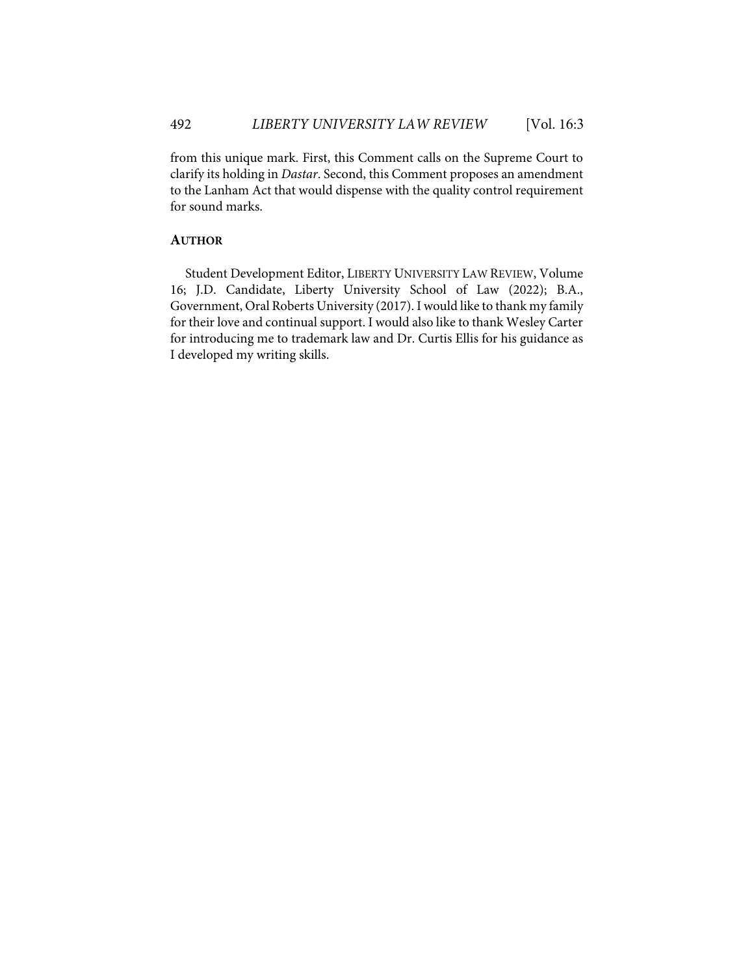from this unique mark. First, this Comment calls on the Supreme Court to clarify its holding in *Dastar*. Second, this Comment proposes an amendment to the Lanham Act that would dispense with the quality control requirement for sound marks.

## **AUTHOR**

Student Development Editor, LIBERTY UNIVERSITY LAW REVIEW, Volume 16; J.D. Candidate, Liberty University School of Law (2022); B.A., Government, Oral Roberts University (2017). I would like to thank my family for their love and continual support. I would also like to thank Wesley Carter for introducing me to trademark law and Dr. Curtis Ellis for his guidance as I developed my writing skills.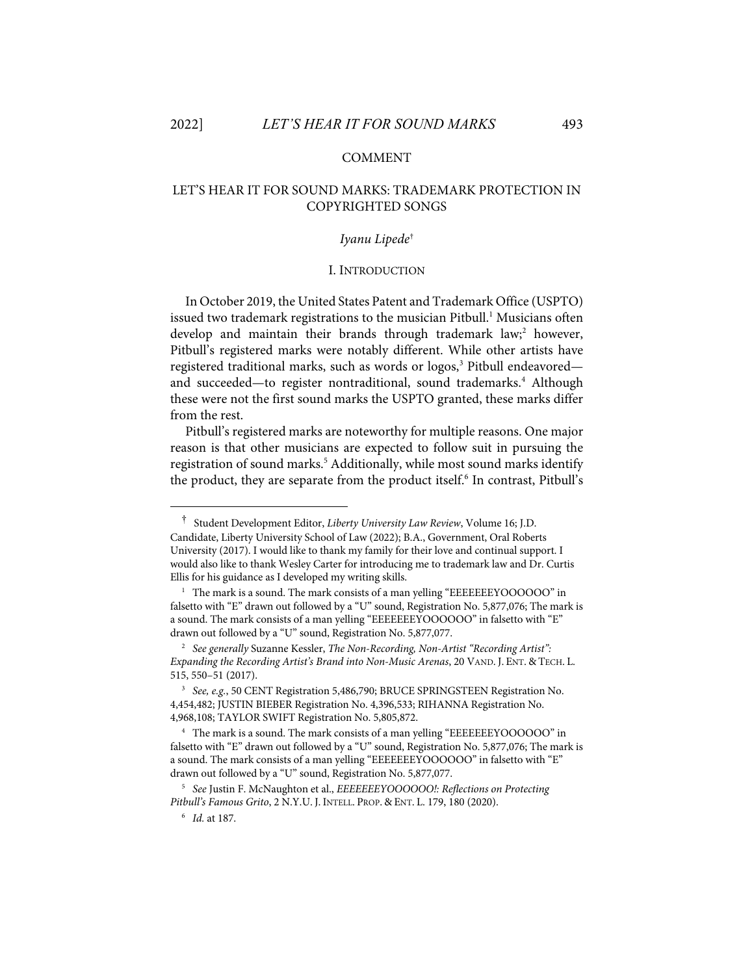#### COMMENT

## LET'S HEAR IT FOR SOUND MARKS: TRADEMARK PROTECTION IN COPYRIGHTED SONGS

#### *Iyanu Lipede*†

#### I. INTRODUCTION

In October 2019, the United States Patent and Trademark Office (USPTO) issued two trademark registrations to the musician Pitbull.<sup>1</sup> Musicians often develop and maintain their brands through trademark law;<sup>2</sup> however, Pitbull's registered marks were notably different. While other artists have registered traditional marks, such as words or logos,<sup>3</sup> Pitbull endeavored and succeeded—to register nontraditional, sound trademarks. <sup>4</sup> Although these were not the first sound marks the USPTO granted, these marks differ from the rest.

Pitbull's registered marks are noteworthy for multiple reasons. One major reason is that other musicians are expected to follow suit in pursuing the registration of sound marks.<sup>5</sup> Additionally, while most sound marks identify the product, they are separate from the product itself.<sup>6</sup> In contrast, Pitbull's

<sup>†</sup> Student Development Editor, *Liberty University Law Review*, Volume 16; J.D. Candidate, Liberty University School of Law (2022); B.A., Government, Oral Roberts University (2017). I would like to thank my family for their love and continual support. I would also like to thank Wesley Carter for introducing me to trademark law and Dr. Curtis Ellis for his guidance as I developed my writing skills.

<sup>&</sup>lt;sup>1</sup> The mark is a sound. The mark consists of a man yelling "EEEEEEEYOOOOOO" in falsetto with "E" drawn out followed by a "U" sound, Registration No. 5,877,076; The mark is a sound. The mark consists of a man yelling "EEEEEEEYOOOOOO" in falsetto with "E" drawn out followed by a "U" sound, Registration No. 5,877,077.

<sup>2</sup> *See generally* Suzanne Kessler, *The Non-Recording, Non-Artist "Recording Artist": Expanding the Recording Artist's Brand into Non-Music Arenas*, 20 VAND. J. ENT. & TECH. L. 515, 550–51 (2017).

<sup>3</sup> *See, e.g.*, 50 CENT Registration 5,486,790; BRUCE SPRINGSTEEN Registration No. 4,454,482; JUSTIN BIEBER Registration No. 4,396,533; RIHANNA Registration No. 4,968,108; TAYLOR SWIFT Registration No. 5,805,872.

<sup>4</sup> The mark is a sound. The mark consists of a man yelling "EEEEEEEYOOOOOO" in falsetto with "E" drawn out followed by a "U" sound, Registration No. 5,877,076; The mark is a sound. The mark consists of a man yelling "EEEEEEEYOOOOOO" in falsetto with "E" drawn out followed by a "U" sound, Registration No. 5,877,077.

<sup>5</sup> *See* Justin F. McNaughton et al., *EEEEEEEYOOOOOO!: Reflections on Protecting Pitbull's Famous Grito*, 2 N.Y.U. J. INTELL. PROP. & ENT. L. 179, 180 (2020).

<sup>6</sup> *Id.* at 187.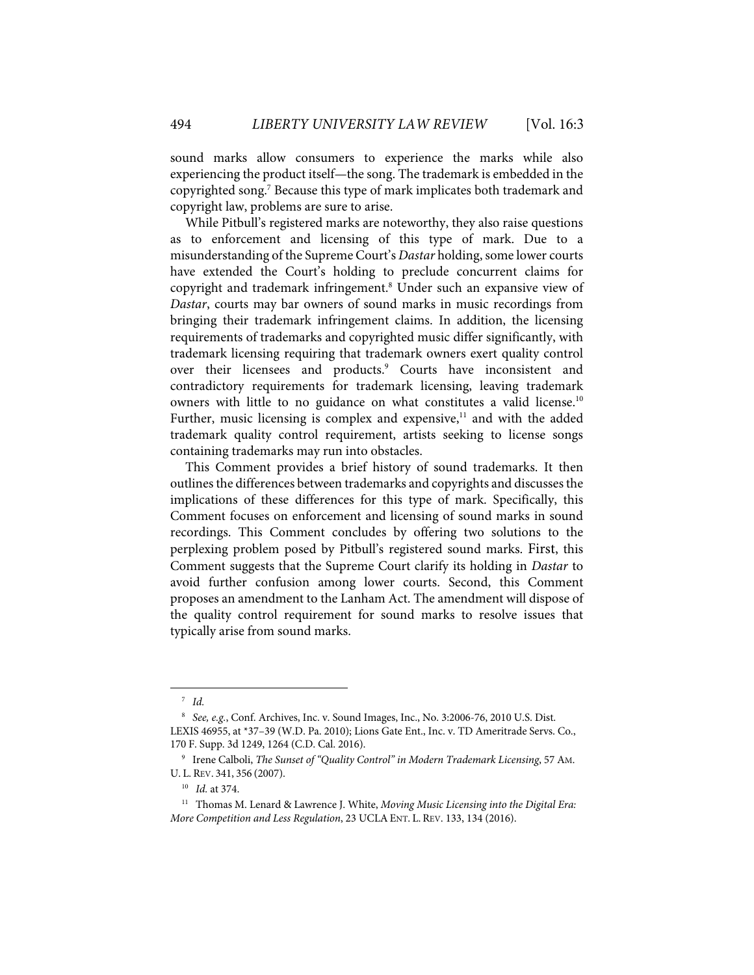sound marks allow consumers to experience the marks while also experiencing the product itself—the song. The trademark is embedded in the copyrighted song. <sup>7</sup> Because this type of mark implicates both trademark and copyright law, problems are sure to arise.

While Pitbull's registered marks are noteworthy, they also raise questions as to enforcement and licensing of this type of mark. Due to a misunderstanding of the Supreme Court's *Dastar* holding, some lower courts have extended the Court's holding to preclude concurrent claims for copyright and trademark infringement.<sup>8</sup> Under such an expansive view of *Dastar*, courts may bar owners of sound marks in music recordings from bringing their trademark infringement claims. In addition, the licensing requirements of trademarks and copyrighted music differ significantly, with trademark licensing requiring that trademark owners exert quality control over their licensees and products.<sup>9</sup> Courts have inconsistent and contradictory requirements for trademark licensing, leaving trademark owners with little to no guidance on what constitutes a valid license.<sup>10</sup> Further, music licensing is complex and expensive, $11$  and with the added trademark quality control requirement, artists seeking to license songs containing trademarks may run into obstacles.

This Comment provides a brief history of sound trademarks. It then outlines the differences between trademarks and copyrights and discusses the implications of these differences for this type of mark. Specifically, this Comment focuses on enforcement and licensing of sound marks in sound recordings. This Comment concludes by offering two solutions to the perplexing problem posed by Pitbull's registered sound marks. First, this Comment suggests that the Supreme Court clarify its holding in *Dastar* to avoid further confusion among lower courts. Second, this Comment proposes an amendment to the Lanham Act. The amendment will dispose of the quality control requirement for sound marks to resolve issues that typically arise from sound marks.

<sup>7</sup> *Id.* 

<sup>8</sup> *See, e.g.*, Conf. Archives, Inc. v. Sound Images, Inc., No. 3:2006-76, 2010 U.S. Dist. LEXIS 46955, at \*37–39 (W.D. Pa. 2010); Lions Gate Ent., Inc. v. TD Ameritrade Servs. Co., 170 F. Supp. 3d 1249, 1264 (C.D. Cal. 2016).

<sup>9</sup> Irene Calboli, *The Sunset of "Quality Control" in Modern Trademark Licensing*, 57 AM. U. L. REV. 341, 356 (2007).

<sup>10</sup> *Id.* at 374.

<sup>11</sup> Thomas M. Lenard & Lawrence J. White, *Moving Music Licensing into the Digital Era: More Competition and Less Regulation*, 23 UCLAENT. L. REV. 133, 134 (2016).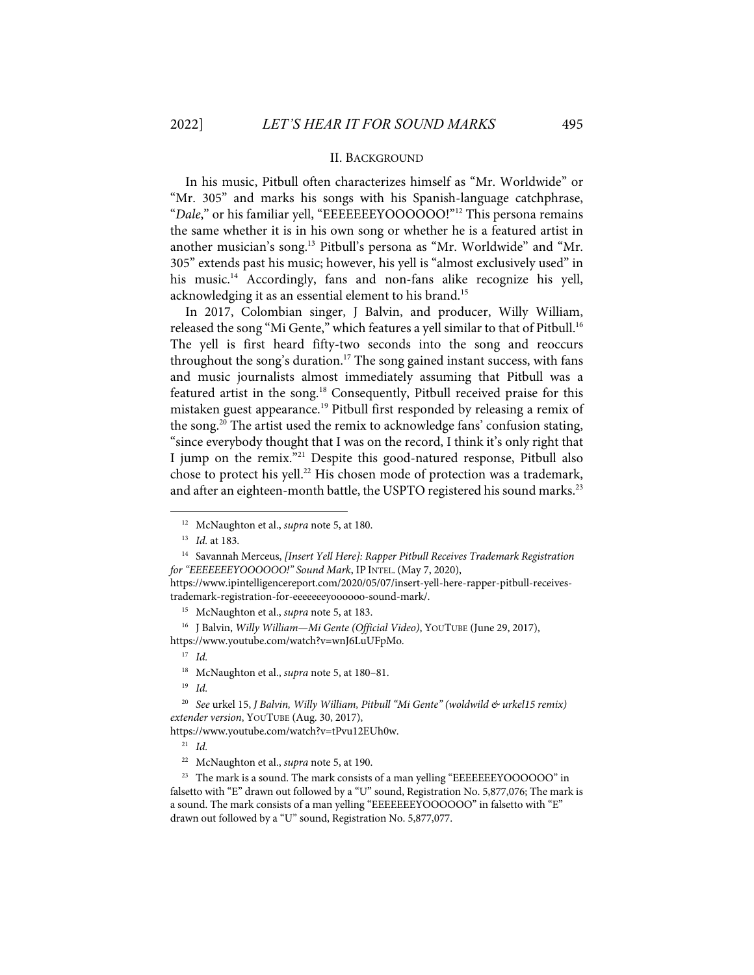#### II. BACKGROUND

In his music, Pitbull often characterizes himself as "Mr. Worldwide" or "Mr. 305" and marks his songs with his Spanish-language catchphrase, "*Dale*," or his familiar yell, "EEEEEEEYOOOOOO!"12 This persona remains the same whether it is in his own song or whether he is a featured artist in another musician's song.13 Pitbull's persona as "Mr. Worldwide" and "Mr. 305" extends past his music; however, his yell is "almost exclusively used" in his music.<sup>14</sup> Accordingly, fans and non-fans alike recognize his yell, acknowledging it as an essential element to his brand. 15

In 2017, Colombian singer, J Balvin, and producer, Willy William, released the song "Mi Gente," which features a yell similar to that of Pitbull.<sup>16</sup> The yell is first heard fifty-two seconds into the song and reoccurs throughout the song's duration. <sup>17</sup> The song gained instant success, with fans and music journalists almost immediately assuming that Pitbull was a featured artist in the song.<sup>18</sup> Consequently, Pitbull received praise for this mistaken guest appearance.<sup>19</sup> Pitbull first responded by releasing a remix of the song.<sup>20</sup> The artist used the remix to acknowledge fans' confusion stating, "since everybody thought that I was on the record, I think it's only right that I jump on the remix."21 Despite this good-natured response, Pitbull also chose to protect his yell.<sup>22</sup> His chosen mode of protection was a trademark, and after an eighteen-month battle, the USPTO registered his sound marks. $^{\scriptstyle 23}$ 

14 Savannah Merceus, *[Insert Yell Here]: Rapper Pitbull Receives Trademark Registration for "EEEEEEEYOOOOOO!" Sound Mark*, IP INTEL.(May 7, 2020),

17 *Id.*

19 *Id.*

https://www.youtube.com/watch?v=tPvu12EUh0w.

21 *Id.*

<sup>12</sup> McNaughton et al., *supra* note 5, at 180.

<sup>13</sup> *Id.* at 183.

https://www.ipintelligencereport.com/2020/05/07/insert-yell-here-rapper-pitbull-receivestrademark-registration-for-eeeeeeeyoooooo-sound-mark/.

<sup>15</sup> McNaughton et al., *supra* note 5, at 183.

<sup>16</sup> J Balvin, *Willy William—Mi Gente (Official Video)*, YOUTUBE (June 29, 2017), https://www.youtube.com/watch?v=wnJ6LuUFpMo.

<sup>18</sup> McNaughton et al., *supra* note 5, at 180–81.

<sup>&</sup>lt;sup>20</sup> See urkel 15, *J Balvin, Willy William, Pitbull "Mi Gente" (woldwild & urkel15 remix) extender version*, YOUTUBE (Aug. 30, 2017),

<sup>22</sup> McNaughton et al., *supra* note 5, at 190.

<sup>&</sup>lt;sup>23</sup> The mark is a sound. The mark consists of a man yelling "EEEEEEEYOOOOOO" in falsetto with "E" drawn out followed by a "U" sound, Registration No. 5,877,076; The mark is a sound. The mark consists of a man yelling "EEEEEEEYOOOOOO" in falsetto with "E" drawn out followed by a "U" sound, Registration No. 5,877,077.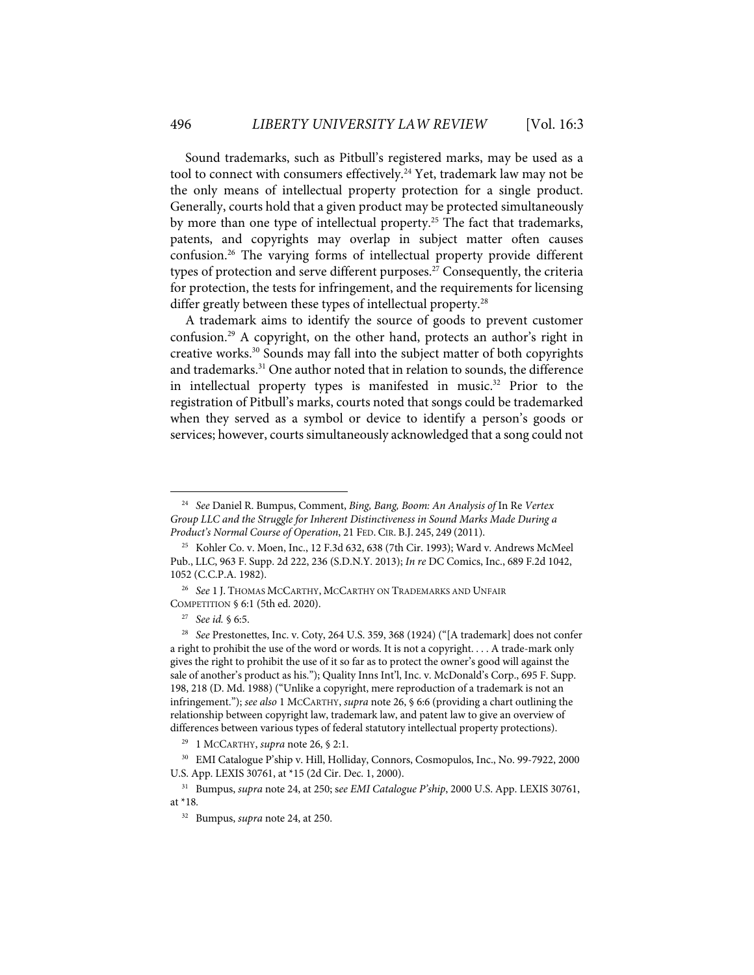Sound trademarks, such as Pitbull's registered marks, may be used as a tool to connect with consumers effectively. <sup>24</sup> Yet, trademark law may not be the only means of intellectual property protection for a single product. Generally, courts hold that a given product may be protected simultaneously by more than one type of intellectual property.<sup>25</sup> The fact that trademarks, patents, and copyrights may overlap in subject matter often causes confusion.26 The varying forms of intellectual property provide different types of protection and serve different purposes. <sup>27</sup> Consequently, the criteria for protection, the tests for infringement, and the requirements for licensing differ greatly between these types of intellectual property.<sup>28</sup>

A trademark aims to identify the source of goods to prevent customer confusion. <sup>29</sup> A copyright, on the other hand, protects an author's right in creative works.30 Sounds may fall into the subject matter of both copyrights and trademarks.<sup>31</sup> One author noted that in relation to sounds, the difference in intellectual property types is manifested in music.<sup>32</sup> Prior to the registration of Pitbull's marks, courts noted that songs could be trademarked when they served as a symbol or device to identify a person's goods or services; however, courts simultaneously acknowledged that a song could not

<sup>24</sup> *See* Daniel R. Bumpus, Comment, *Bing, Bang, Boom: An Analysis of* In Re *Vertex Group LLC and the Struggle for Inherent Distinctiveness in Sound Marks Made During a Product's Normal Course of Operation*, 21 FED. CIR. B.J. 245, 249 (2011).

<sup>25</sup> Kohler Co. v. Moen, Inc., 12 F.3d 632, 638 (7th Cir. 1993); Ward v. Andrews McMeel Pub., LLC, 963 F. Supp. 2d 222, 236 (S.D.N.Y. 2013); *In re* DC Comics, Inc., 689 F.2d 1042, 1052 (C.C.P.A. 1982).

<sup>26</sup> *See* 1 J. THOMAS MCCARTHY, MCCARTHY ON TRADEMARKS AND UNFAIR COMPETITION § 6:1 (5th ed. 2020).

<sup>27</sup> *See id.* § 6:5.

<sup>28</sup> *See* Prestonettes, Inc. v. Coty, 264 U.S. 359, 368 (1924) ("[A trademark] does not confer a right to prohibit the use of the word or words. It is not a copyright. . . . A trade-mark only gives the right to prohibit the use of it so far as to protect the owner's good will against the sale of another's product as his."); Quality Inns Int'l, Inc. v. McDonald's Corp., 695 F. Supp. 198, 218 (D. Md. 1988) ("Unlike a copyright, mere reproduction of a trademark is not an infringement."); *see also* 1 MCCARTHY, *supra* note 26, § 6:6 (providing a chart outlining the relationship between copyright law, trademark law, and patent law to give an overview of differences between various types of federal statutory intellectual property protections).

<sup>29 1</sup> MCCARTHY, *supra* note 26, § 2:1.

<sup>30</sup> EMI Catalogue P'ship v. Hill, Holliday, Connors, Cosmopulos, Inc., No. 99-7922, 2000 U.S. App. LEXIS 30761, at \*15 (2d Cir. Dec. 1, 2000).

<sup>31</sup> Bumpus, *supra* note 24, at 250; s*ee EMI Catalogue P'ship*, 2000 U.S. App. LEXIS 30761, at \*18*.*

<sup>32</sup> Bumpus, *supra* note 24, at 250.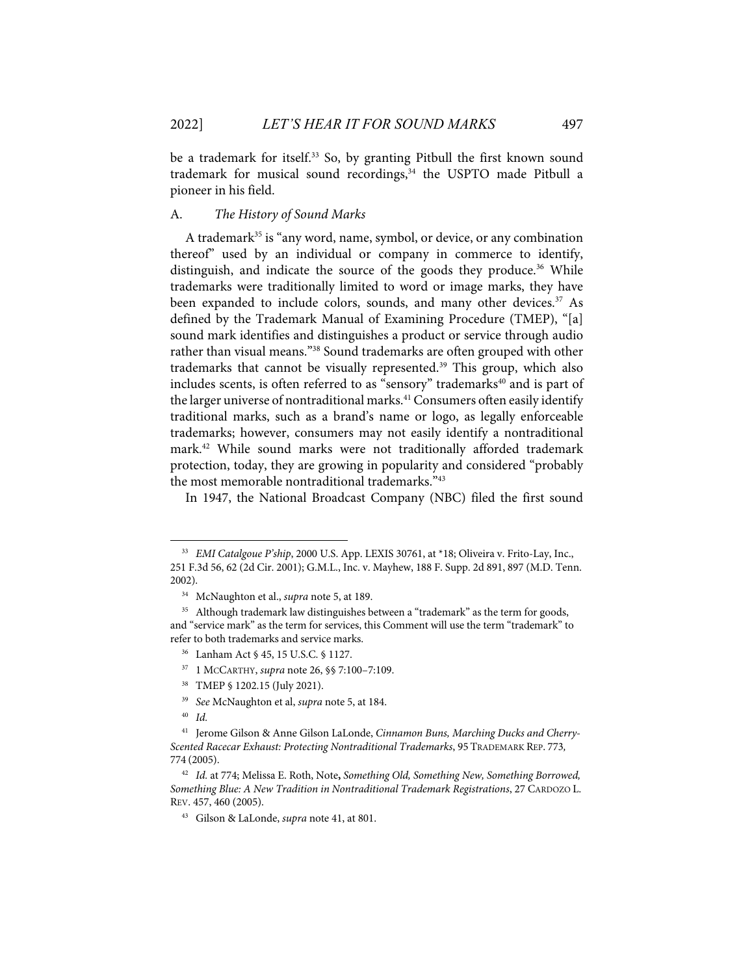be a trademark for itself.<sup>33</sup> So, by granting Pitbull the first known sound trademark for musical sound recordings, $34$  the USPTO made Pitbull a pioneer in his field.

#### A. *The History of Sound Marks*

A trademark<sup>35</sup> is "any word, name, symbol, or device, or any combination thereof" used by an individual or company in commerce to identify, distinguish, and indicate the source of the goods they produce.<sup>36</sup> While trademarks were traditionally limited to word or image marks, they have been expanded to include colors, sounds, and many other devices.<sup>37</sup> As defined by the Trademark Manual of Examining Procedure (TMEP), "[a] sound mark identifies and distinguishes a product or service through audio rather than visual means."38 Sound trademarks are often grouped with other trademarks that cannot be visually represented.<sup>39</sup> This group, which also includes scents, is often referred to as "sensory" trademarks<sup>40</sup> and is part of the larger universe of nontraditional marks.<sup>41</sup> Consumers often easily identify traditional marks, such as a brand's name or logo, as legally enforceable trademarks; however, consumers may not easily identify a nontraditional mark. <sup>42</sup> While sound marks were not traditionally afforded trademark protection, today, they are growing in popularity and considered "probably the most memorable nontraditional trademarks."43

In 1947, the National Broadcast Company (NBC) filed the first sound

<sup>&</sup>lt;sup>33</sup> *EMI Catalgoue P'ship*, 2000 U.S. App. LEXIS 30761, at \*18; Oliveira v. Frito-Lay, Inc., 251 F.3d 56, 62 (2d Cir. 2001); G.M.L., Inc. v. Mayhew, 188 F. Supp. 2d 891, 897 (M.D. Tenn. 2002).

<sup>34</sup> McNaughton et al., *supra* note 5, at 189.

<sup>&</sup>lt;sup>35</sup> Although trademark law distinguishes between a "trademark" as the term for goods, and "service mark" as the term for services, this Comment will use the term "trademark" to refer to both trademarks and service marks.

<sup>36</sup> Lanham Act § 45, 15 U.S.C. § 1127.

<sup>37 1</sup> MCCARTHY, *supra* note 26, §§ 7:100–7:109.

<sup>38</sup> TMEP § 1202.15 (July 2021).

<sup>39</sup> *See* McNaughton et al, *supra* note 5, at 184.

<sup>40</sup> *Id.*

<sup>41</sup> Jerome Gilson & Anne Gilson LaLonde, *Cinnamon Buns, Marching Ducks and Cherry-Scented Racecar Exhaust: Protecting Nontraditional Trademarks*, 95 TRADEMARK REP. 773*,* 774 (2005).

<sup>42</sup> *Id.* at 774; Melissa E. Roth, Note**,** *Something Old, Something New, Something Borrowed, Something Blue: A New Tradition in Nontraditional Trademark Registrations*, 27 CARDOZO L. REV. 457, 460 (2005).

<sup>43</sup> Gilson & LaLonde, *supra* note 41, at 801.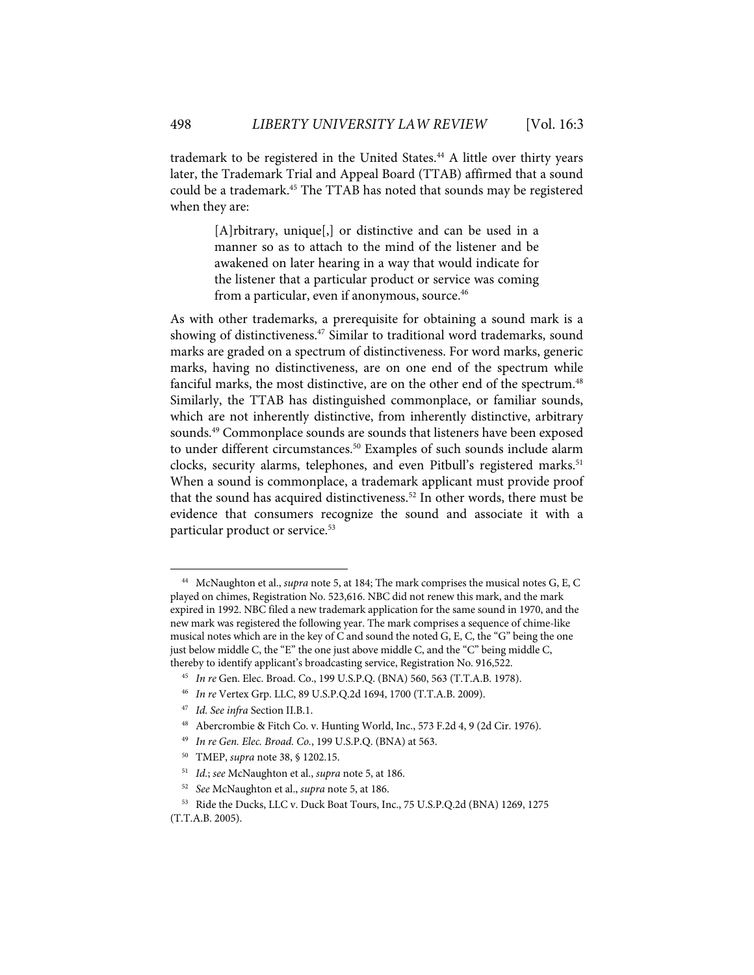trademark to be registered in the United States.<sup>44</sup> A little over thirty years later, the Trademark Trial and Appeal Board (TTAB) affirmed that a sound could be a trademark.45 The TTAB has noted that sounds may be registered when they are:

> [A]rbitrary, unique[,] or distinctive and can be used in a manner so as to attach to the mind of the listener and be awakened on later hearing in a way that would indicate for the listener that a particular product or service was coming from a particular, even if anonymous, source. 46

As with other trademarks, a prerequisite for obtaining a sound mark is a showing of distinctiveness.<sup>47</sup> Similar to traditional word trademarks, sound marks are graded on a spectrum of distinctiveness. For word marks, generic marks, having no distinctiveness, are on one end of the spectrum while fanciful marks, the most distinctive, are on the other end of the spectrum.<sup>48</sup> Similarly, the TTAB has distinguished commonplace, or familiar sounds, which are not inherently distinctive, from inherently distinctive, arbitrary sounds. <sup>49</sup> Commonplace sounds are sounds that listeners have been exposed to under different circumstances.<sup>50</sup> Examples of such sounds include alarm clocks, security alarms, telephones, and even Pitbull's registered marks. 51 When a sound is commonplace, a trademark applicant must provide proof that the sound has acquired distinctiveness.<sup>52</sup> In other words, there must be evidence that consumers recognize the sound and associate it with a particular product or service.<sup>53</sup>

47 *Id. See infra* Section II.B.1.

<sup>44</sup> McNaughton et al., *supra* note 5, at 184; The mark comprises the musical notes G, E, C played on chimes, Registration No. 523,616. NBC did not renew this mark, and the mark expired in 1992. NBC filed a new trademark application for the same sound in 1970, and the new mark was registered the following year. The mark comprises a sequence of chime-like musical notes which are in the key of C and sound the noted G, E, C, the "G" being the one just below middle C, the "E" the one just above middle C, and the "C" being middle C, thereby to identify applicant's broadcasting service, Registration No. 916,522.

<sup>45</sup> *In re* Gen. Elec. Broad. Co., 199 U.S.P.Q. (BNA) 560, 563 (T.T.A.B. 1978).

<sup>46</sup> *In re* Vertex Grp. LLC, 89 U.S.P.Q.2d 1694, 1700 (T.T.A.B. 2009).

<sup>48</sup> Abercrombie & Fitch Co. v. Hunting World, Inc., 573 F.2d 4, 9 (2d Cir. 1976).

<sup>49</sup> *In re Gen. Elec. Broad. Co.*, 199 U.S.P.Q. (BNA) at 563.

<sup>50</sup> TMEP, *supra* note 38, § 1202.15.

<sup>51</sup> *Id.*; *see* McNaughton et al., *supra* note 5, at 186.

<sup>52</sup> *See* McNaughton et al., *supra* note 5, at 186.

<sup>53</sup> Ride the Ducks, LLC v. Duck Boat Tours, Inc., 75 U.S.P.Q.2d (BNA) 1269, 1275 (T.T.A.B. 2005).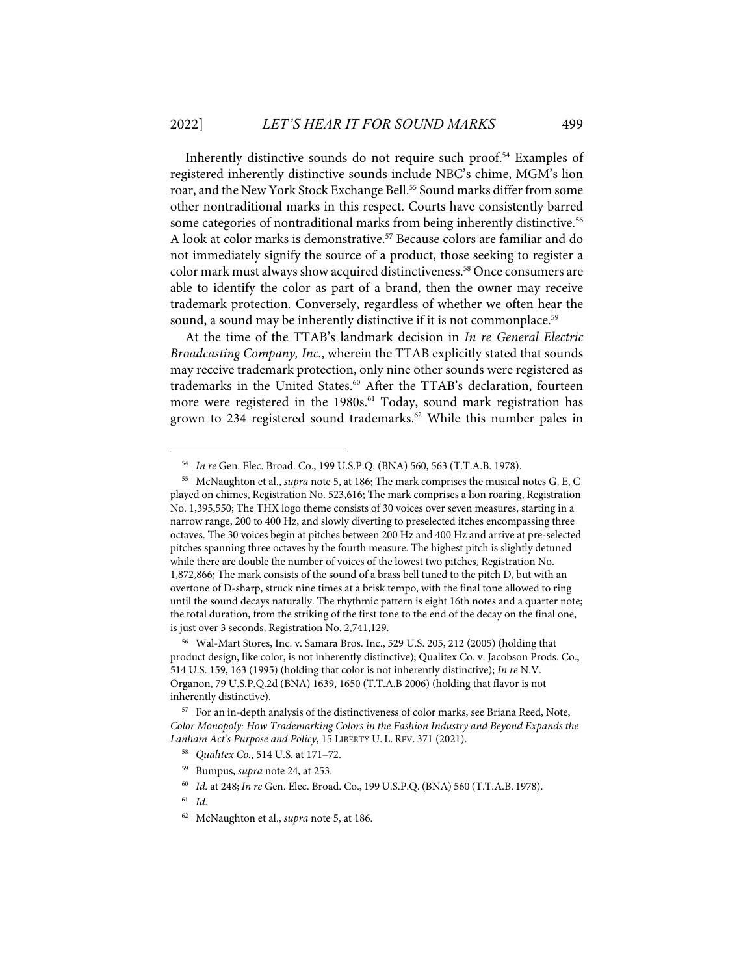Inherently distinctive sounds do not require such proof.54 Examples of registered inherently distinctive sounds include NBC's chime, MGM's lion roar, and the New York Stock Exchange Bell.<sup>55</sup> Sound marks differ from some other nontraditional marks in this respect. Courts have consistently barred some categories of nontraditional marks from being inherently distinctive.<sup>56</sup> A look at color marks is demonstrative.<sup>57</sup> Because colors are familiar and do not immediately signify the source of a product, those seeking to register a color mark must always show acquired distinctiveness.58 Once consumers are able to identify the color as part of a brand, then the owner may receive trademark protection. Conversely, regardless of whether we often hear the sound, a sound may be inherently distinctive if it is not commonplace.<sup>59</sup>

At the time of the TTAB's landmark decision in *In re General Electric Broadcasting Company, Inc.*, wherein the TTAB explicitly stated that sounds may receive trademark protection, only nine other sounds were registered as trademarks in the United States. <sup>60</sup> After the TTAB's declaration, fourteen more were registered in the 1980s.<sup>61</sup> Today, sound mark registration has grown to 234 registered sound trademarks.<sup>62</sup> While this number pales in

- 58 *Qualitex Co.*, 514 U.S. at 171–72.
- 59 Bumpus, *supra* note 24, at 253.
- 60 *Id.* at 248; *In re* Gen. Elec. Broad. Co., 199 U.S.P.Q.(BNA) 560 (T.T.A.B. 1978).

<sup>54</sup> *In re* Gen. Elec. Broad. Co., 199 U.S.P.Q. (BNA) 560, 563 (T.T.A.B. 1978).

<sup>55</sup> McNaughton et al., *supra* note 5, at 186; The mark comprises the musical notes G, E, C played on chimes, Registration No. 523,616; The mark comprises a lion roaring, Registration No. 1,395,550; The THX logo theme consists of 30 voices over seven measures, starting in a narrow range, 200 to 400 Hz, and slowly diverting to preselected itches encompassing three octaves. The 30 voices begin at pitches between 200 Hz and 400 Hz and arrive at pre-selected pitches spanning three octaves by the fourth measure. The highest pitch is slightly detuned while there are double the number of voices of the lowest two pitches, Registration No. 1,872,866; The mark consists of the sound of a brass bell tuned to the pitch D, but with an overtone of D-sharp, struck nine times at a brisk tempo, with the final tone allowed to ring until the sound decays naturally. The rhythmic pattern is eight 16th notes and a quarter note; the total duration, from the striking of the first tone to the end of the decay on the final one, is just over 3 seconds, Registration No. 2,741,129.

<sup>56</sup> Wal-Mart Stores, Inc. v. Samara Bros. Inc., 529 U.S. 205, 212 (2005) (holding that product design, like color, is not inherently distinctive); Qualitex Co. v. Jacobson Prods. Co., 514 U.S. 159, 163 (1995) (holding that color is not inherently distinctive); *In re* N.V. Organon, 79 U.S.P.Q.2d (BNA) 1639, 1650 (T.T.A.B 2006) (holding that flavor is not inherently distinctive).

<sup>57</sup> For an in-depth analysis of the distinctiveness of color marks, see Briana Reed, Note, *Color Monopoly: How Trademarking Colors in the Fashion Industry and Beyond Expands the Lanham Act's Purpose and Policy*, 15 LIBERTY U. L. REV. 371 (2021).

<sup>61</sup> *Id.*

<sup>62</sup> McNaughton et al., *supra* note 5, at 186.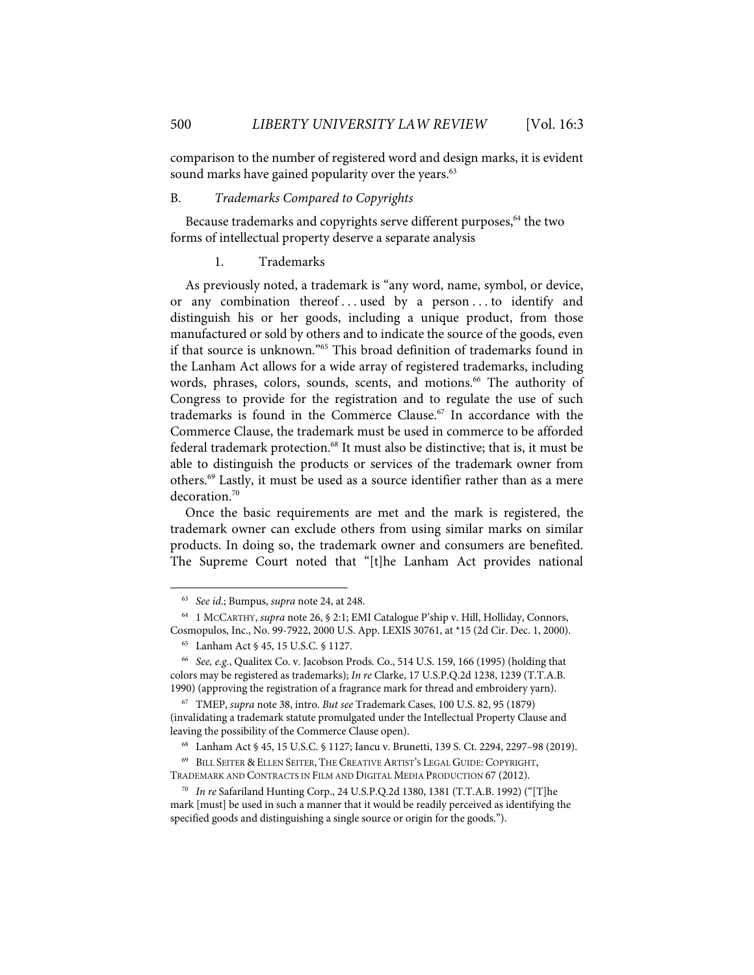comparison to the number of registered word and design marks, it is evident sound marks have gained popularity over the years.<sup>63</sup>

## B. *Trademarks Compared to Copyrights*

Because trademarks and copyrights serve different purposes,<sup>64</sup> the two forms of intellectual property deserve a separate analysis

#### 1. Trademarks

As previously noted, a trademark is "any word, name, symbol, or device, or any combination thereof . . . used by a person . . . to identify and distinguish his or her goods, including a unique product, from those manufactured or sold by others and to indicate the source of the goods, even if that source is unknown."65 This broad definition of trademarks found in the Lanham Act allows for a wide array of registered trademarks, including words, phrases, colors, sounds, scents, and motions.<sup>66</sup> The authority of Congress to provide for the registration and to regulate the use of such trademarks is found in the Commerce Clause.<sup>67</sup> In accordance with the Commerce Clause, the trademark must be used in commerce to be afforded federal trademark protection. <sup>68</sup> It must also be distinctive; that is, it must be able to distinguish the products or services of the trademark owner from others.69 Lastly, it must be used as a source identifier rather than as a mere decoration. 70

Once the basic requirements are met and the mark is registered, the trademark owner can exclude others from using similar marks on similar products. In doing so, the trademark owner and consumers are benefited. The Supreme Court noted that "[t]he Lanham Act provides national

<sup>63</sup> *See id*.; Bumpus, *supra* note 24, at 248.

<sup>64 1</sup> MCCARTHY, *supra* note 26, § 2:1; EMI Catalogue P'ship v. Hill, Holliday, Connors, Cosmopulos, Inc., No. 99-7922, 2000 U.S. App. LEXIS 30761, at \*15 (2d Cir. Dec. 1, 2000).

<sup>65</sup> Lanham Act § 45, 15 U.S.C. § 1127.

<sup>66</sup> *See, e.g.*, Qualitex Co. v. Jacobson Prods. Co., 514 U.S. 159, 166 (1995) (holding that colors may be registered as trademarks); *In re* Clarke, 17 U.S.P.Q.2d 1238, 1239 (T.T.A.B. 1990) (approving the registration of a fragrance mark for thread and embroidery yarn).

<sup>67</sup> TMEP, *supra* note 38, intro. *But see* Trademark Cases, 100 U.S. 82, 95 (1879) (invalidating a trademark statute promulgated under the Intellectual Property Clause and leaving the possibility of the Commerce Clause open).

<sup>68</sup> Lanham Act § 45, 15 U.S.C. § 1127; Iancu v. Brunetti, 139 S. Ct. 2294, 2297–98 (2019).

<sup>69</sup> BILL SEITER & ELLEN SEITER, THE CREATIVE ARTIST'S LEGAL GUIDE: COPYRIGHT,

TRADEMARK AND CONTRACTS IN FILM AND DIGITAL MEDIA PRODUCTION 67 (2012).

<sup>70</sup> *In re* Safariland Hunting Corp., 24 U.S.P.Q.2d 1380, 1381 (T.T.A.B. 1992) ("[T]he mark [must] be used in such a manner that it would be readily perceived as identifying the specified goods and distinguishing a single source or origin for the goods.").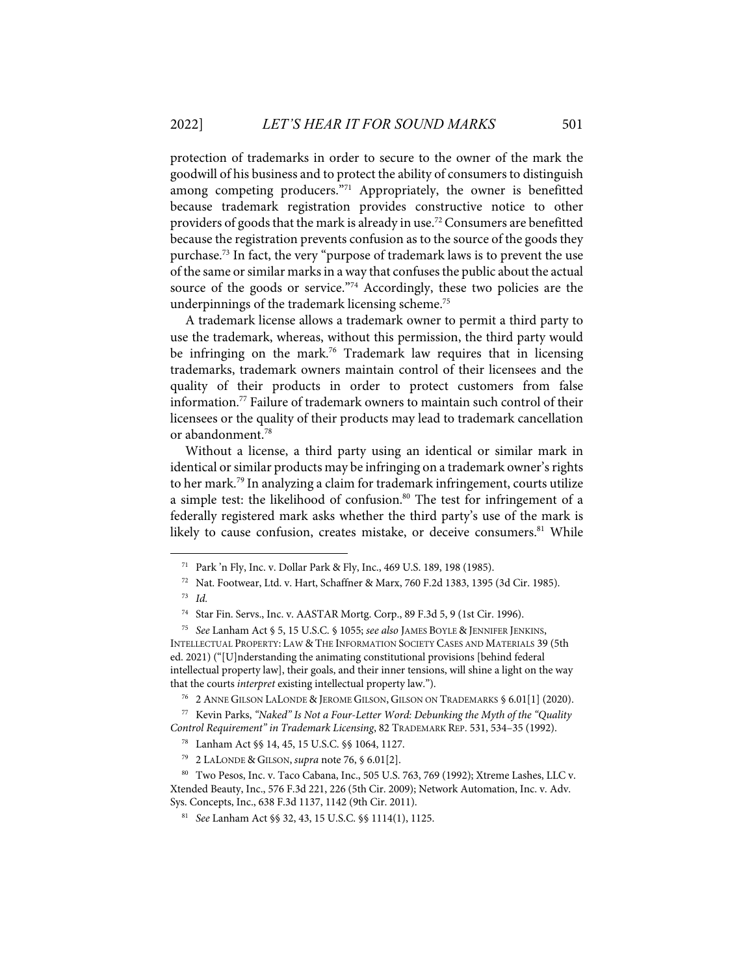protection of trademarks in order to secure to the owner of the mark the goodwill of his business and to protect the ability of consumers to distinguish among competing producers."<sup>71</sup> Appropriately, the owner is benefitted because trademark registration provides constructive notice to other providers of goods that the mark is already in use.<sup>72</sup> Consumers are benefitted because the registration prevents confusion as to the source of the goods they purchase. <sup>73</sup> In fact, the very "purpose of trademark laws is to prevent the use of the same or similar marks in a way that confuses the public about the actual source of the goods or service."<sup>74</sup> Accordingly, these two policies are the underpinnings of the trademark licensing scheme.<sup>75</sup>

A trademark license allows a trademark owner to permit a third party to use the trademark, whereas, without this permission, the third party would be infringing on the mark. <sup>76</sup> Trademark law requires that in licensing trademarks, trademark owners maintain control of their licensees and the quality of their products in order to protect customers from false information.77 Failure of trademark owners to maintain such control of their licensees or the quality of their products may lead to trademark cancellation or abandonment.78

Without a license, a third party using an identical or similar mark in identical or similar products may be infringing on a trademark owner's rights to her mark.79 In analyzing a claim for trademark infringement, courts utilize a simple test: the likelihood of confusion.<sup>80</sup> The test for infringement of a federally registered mark asks whether the third party's use of the mark is likely to cause confusion, creates mistake, or deceive consumers.<sup>81</sup> While

76 2 ANNE GILSON LALONDE & JEROME GILSON, GILSON ON TRADEMARKS § 6.01[1] (2020).

77 Kevin Parks, *"Naked" Is Not a Four-Letter Word: Debunking the Myth of the "Quality Control Requirement" in Trademark Licensing*, 82 TRADEMARK REP. 531, 534–35 (1992).

78 Lanham Act §§ 14, 45, 15 U.S.C. §§ 1064, 1127.

<sup>71</sup> Park 'n Fly, Inc. v. Dollar Park & Fly, Inc., 469 U.S. 189, 198 (1985).

<sup>72</sup> Nat. Footwear, Ltd. v. Hart, Schaffner & Marx, 760 F.2d 1383, 1395 (3d Cir. 1985).

<sup>73</sup> *Id.*

<sup>74</sup> Star Fin. Servs., Inc. v. AASTAR Mortg. Corp., 89 F.3d 5, 9 (1st Cir. 1996).

<sup>75</sup> *See* Lanham Act § 5, 15 U.S.C. § 1055; *see also* JAMES BOYLE & JENNIFER JENKINS, INTELLECTUAL PROPERTY: LAW & THE INFORMATION SOCIETY CASES AND MATERIALS 39 (5th ed. 2021) ("[U]nderstanding the animating constitutional provisions [behind federal intellectual property law], their goals, and their inner tensions, will shine a light on the way that the courts *interpret* existing intellectual property law.").

<sup>79 2</sup> LALONDE & GILSON, *supra* note 76, § 6.01[2].

<sup>80</sup> Two Pesos, Inc. v. Taco Cabana, Inc., 505 U.S. 763, 769 (1992); Xtreme Lashes, LLC v. Xtended Beauty, Inc., 576 F.3d 221, 226 (5th Cir. 2009); Network Automation, Inc. v. Adv. Sys. Concepts, Inc., 638 F.3d 1137, 1142 (9th Cir. 2011).

<sup>81</sup> *See* Lanham Act §§ 32, 43, 15 U.S.C. §§ 1114(1), 1125.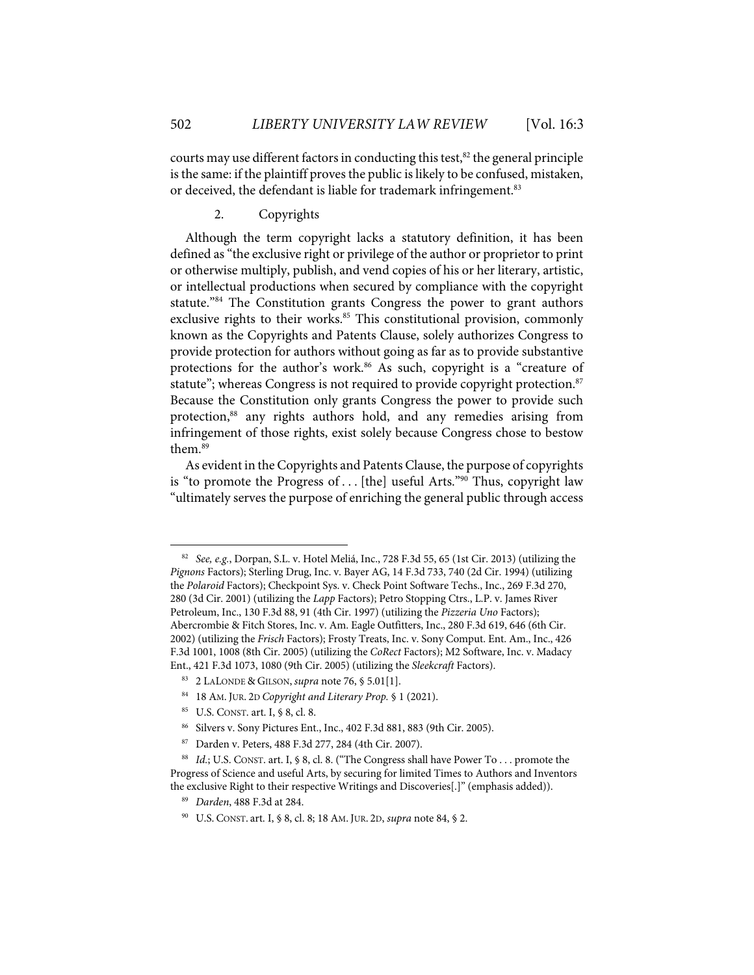courts may use different factors in conducting this test, $82$  the general principle is the same: if the plaintiff proves the public is likely to be confused, mistaken, or deceived, the defendant is liable for trademark infringement.<sup>83</sup>

2. Copyrights

Although the term copyright lacks a statutory definition, it has been defined as "the exclusive right or privilege of the author or proprietor to print or otherwise multiply, publish, and vend copies of his or her literary, artistic, or intellectual productions when secured by compliance with the copyright statute."84 The Constitution grants Congress the power to grant authors exclusive rights to their works.<sup>85</sup> This constitutional provision, commonly known as the Copyrights and Patents Clause, solely authorizes Congress to provide protection for authors without going as far as to provide substantive protections for the author's work. <sup>86</sup> As such, copyright is a "creature of statute"; whereas Congress is not required to provide copyright protection.<sup>87</sup> Because the Constitution only grants Congress the power to provide such protection, <sup>88</sup> any rights authors hold, and any remedies arising from infringement of those rights, exist solely because Congress chose to bestow them. 89

As evident in the Copyrights and Patents Clause, the purpose of copyrights is "to promote the Progress of . . . [the] useful Arts." $90$  Thus, copyright law "ultimately serves the purpose of enriching the general public through access

85 U.S. CONST. art. I, § 8, cl. 8.

<sup>82</sup> *See, e.g.*, Dorpan, S.L. v. Hotel Meliá, Inc., 728 F.3d 55, 65 (1st Cir. 2013) (utilizing the *Pignons* Factors); Sterling Drug, Inc. v. Bayer AG, 14 F.3d 733, 740 (2d Cir. 1994) (utilizing the *Polaroid* Factors); Checkpoint Sys. v. Check Point Software Techs., Inc., 269 F.3d 270, 280 (3d Cir. 2001) (utilizing the *Lapp* Factors); Petro Stopping Ctrs., L.P. v. James River Petroleum, Inc., 130 F.3d 88, 91 (4th Cir. 1997) (utilizing the *Pizzeria Uno* Factors); Abercrombie & Fitch Stores, Inc. v. Am. Eagle Outfitters, Inc., 280 F.3d 619, 646 (6th Cir. 2002) (utilizing the *Frisch* Factors); Frosty Treats, Inc. v. Sony Comput. Ent. Am., Inc., 426 F.3d 1001, 1008 (8th Cir. 2005) (utilizing the *CoRect* Factors); M2 Software, Inc. v. Madacy Ent., 421 F.3d 1073, 1080 (9th Cir. 2005) (utilizing the *Sleekcraft* Factors).

<sup>83 2</sup> LALONDE & GILSON, *supra* note 76, § 5.01[1].

<sup>84 18</sup> AM. JUR. 2D *Copyright and Literary Prop.* § 1 (2021).

<sup>86</sup> Silvers v. Sony Pictures Ent., Inc., 402 F.3d 881, 883 (9th Cir. 2005).

<sup>87</sup> Darden v. Peters, 488 F.3d 277, 284 (4th Cir. 2007).

<sup>88</sup> *Id.*; U.S. CONST. art. I, § 8, cl. 8. ("The Congress shall have Power To . . . promote the Progress of Science and useful Arts, by securing for limited Times to Authors and Inventors the exclusive Right to their respective Writings and Discoveries[.]" (emphasis added)).

<sup>89</sup> *Darden*, 488 F.3d at 284.

<sup>90</sup> U.S. CONST. art. I, § 8, cl. 8; 18 AM. JUR. 2D, *supra* note 84, § 2.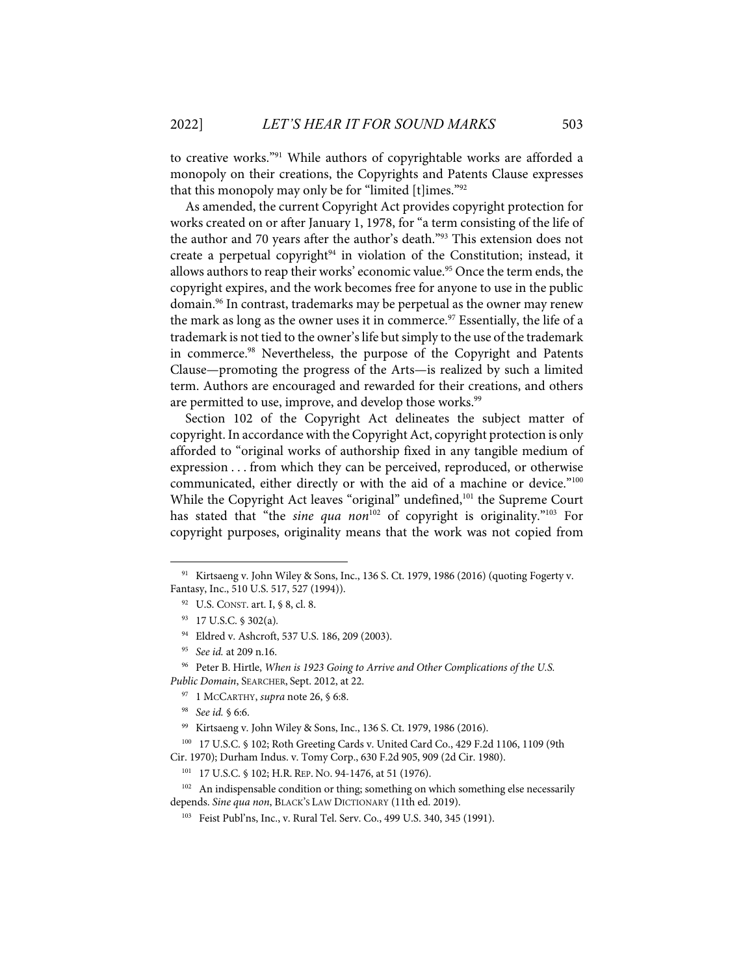to creative works."91 While authors of copyrightable works are afforded a monopoly on their creations, the Copyrights and Patents Clause expresses that this monopoly may only be for "limited [t]imes."92

As amended, the current Copyright Act provides copyright protection for works created on or after January 1, 1978, for "a term consisting of the life of the author and 70 years after the author's death."93 This extension does not create a perpetual copyright $94$  in violation of the Constitution; instead, it allows authors to reap their works' economic value.<sup>95</sup> Once the term ends, the copyright expires, and the work becomes free for anyone to use in the public domain.<sup>96</sup> In contrast, trademarks may be perpetual as the owner may renew the mark as long as the owner uses it in commerce.<sup>97</sup> Essentially, the life of a trademark is not tied to the owner'slife but simply to the use of the trademark in commerce.98 Nevertheless, the purpose of the Copyright and Patents Clause—promoting the progress of the Arts—is realized by such a limited term. Authors are encouraged and rewarded for their creations, and others are permitted to use, improve, and develop those works.<sup>99</sup>

Section 102 of the Copyright Act delineates the subject matter of copyright. In accordance with the Copyright Act, copyright protection is only afforded to "original works of authorship fixed in any tangible medium of expression . . . from which they can be perceived, reproduced, or otherwise communicated, either directly or with the aid of a machine or device."<sup>100</sup> While the Copyright Act leaves "original" undefined,<sup>101</sup> the Supreme Court has stated that "the *sine qua non*<sup>102</sup> of copyright is originality."<sup>103</sup> For copyright purposes, originality means that the work was not copied from

<sup>&</sup>lt;sup>91</sup> Kirtsaeng v. John Wiley & Sons, Inc., 136 S. Ct. 1979, 1986 (2016) (quoting Fogerty v. Fantasy, Inc., 510 U.S. 517, 527 (1994)).

<sup>92</sup> U.S. CONST. art. I, § 8, cl. 8.

<sup>93 17</sup> U.S.C. § 302(a)*.*

<sup>94</sup> Eldred v. Ashcroft, 537 U.S. 186, 209 (2003).

<sup>95</sup> *See id.* at 209 n.16.

<sup>96</sup> Peter B. Hirtle, *When is 1923 Going to Arrive and Other Complications of the U.S. Public Domain*, SEARCHER, Sept. 2012, at 22.

<sup>97 1</sup> MCCARTHY, *supra* note 26, § 6:8.

<sup>98</sup> *See id.* § 6:6.

<sup>99</sup> Kirtsaeng v. John Wiley & Sons, Inc., 136 S. Ct. 1979, 1986 (2016).

<sup>100 17</sup> U.S.C. § 102; Roth Greeting Cards v. United Card Co., 429 F.2d 1106, 1109 (9th Cir. 1970); Durham Indus. v. Tomy Corp., 630 F.2d 905, 909 (2d Cir. 1980).

<sup>101 17</sup> U.S.C. § 102; H.R. REP. NO. 94-1476, at 51 (1976).

<sup>&</sup>lt;sup>102</sup> An indispensable condition or thing; something on which something else necessarily depends. *Sine qua non*, BLACK'S LAW DICTIONARY (11th ed. 2019).

<sup>103</sup> Feist Publ'ns, Inc., v. Rural Tel. Serv. Co., 499 U.S. 340, 345 (1991).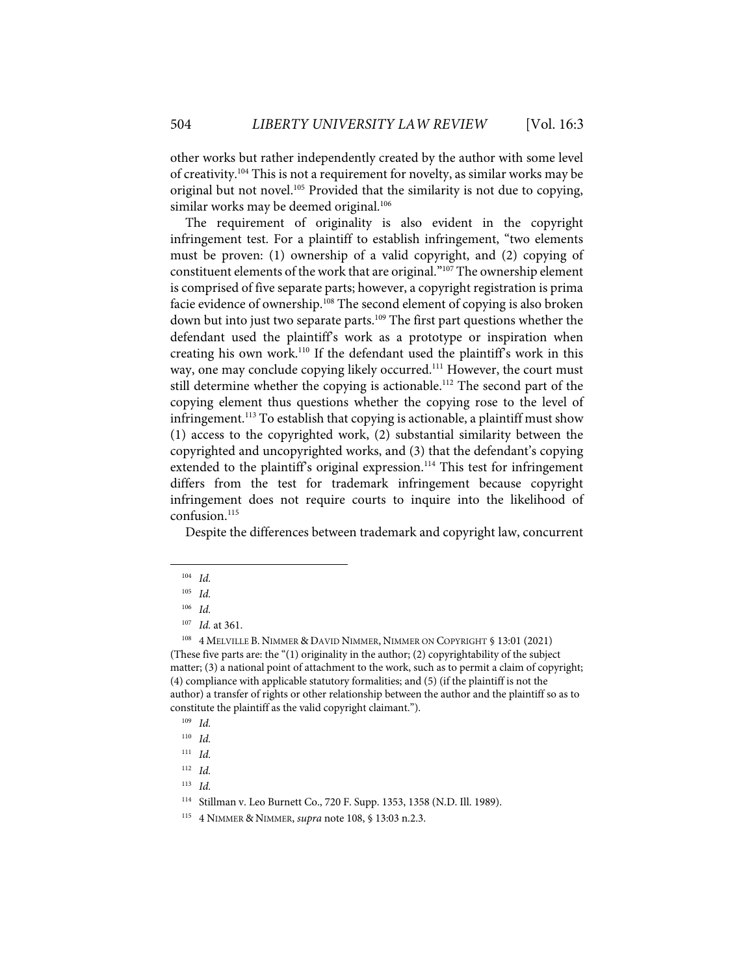other works but rather independently created by the author with some level of creativity.<sup>104</sup> This is not a requirement for novelty, as similar works may be original but not novel.105 Provided that the similarity is not due to copying, similar works may be deemed original.<sup>106</sup>

The requirement of originality is also evident in the copyright infringement test. For a plaintiff to establish infringement, "two elements must be proven: (1) ownership of a valid copyright, and (2) copying of constituent elements of the work that are original."107 The ownership element is comprised of five separate parts; however, a copyright registration is prima facie evidence of ownership.<sup>108</sup> The second element of copying is also broken down but into just two separate parts.<sup>109</sup> The first part questions whether the defendant used the plaintiff's work as a prototype or inspiration when creating his own work.110 If the defendant used the plaintiff's work in this way, one may conclude copying likely occurred.<sup>111</sup> However, the court must still determine whether the copying is actionable.<sup>112</sup> The second part of the copying element thus questions whether the copying rose to the level of infringement.<sup>113</sup> To establish that copying is actionable, a plaintiff must show (1) access to the copyrighted work, (2) substantial similarity between the copyrighted and uncopyrighted works, and (3) that the defendant's copying extended to the plaintiff's original expression.<sup>114</sup> This test for infringement differs from the test for trademark infringement because copyright infringement does not require courts to inquire into the likelihood of confusion.115

Despite the differences between trademark and copyright law, concurrent

<sup>104</sup> *Id.*

<sup>105</sup> *Id.*

<sup>106</sup> *Id.*

<sup>107</sup> *Id.* at 361.

<sup>108 4</sup> MELVILLE B. NIMMER & DAVID NIMMER, NIMMER ON COPYRIGHT § 13:01 (2021) (These five parts are: the "(1) originality in the author; (2) copyrightability of the subject matter; (3) a national point of attachment to the work, such as to permit a claim of copyright; (4) compliance with applicable statutory formalities; and (5) (if the plaintiff is not the author) a transfer of rights or other relationship between the author and the plaintiff so as to constitute the plaintiff as the valid copyright claimant.").

<sup>109</sup> *Id.*

<sup>110</sup> *Id.*

<sup>111</sup> *Id.*

<sup>112</sup> *Id.*

<sup>113</sup> *Id.*

<sup>114</sup> Stillman v. Leo Burnett Co., 720 F. Supp. 1353, 1358 (N.D. Ill. 1989).

<sup>115 4</sup> NIMMER & NIMMER, *supra* note 108, § 13:03 n.2.3.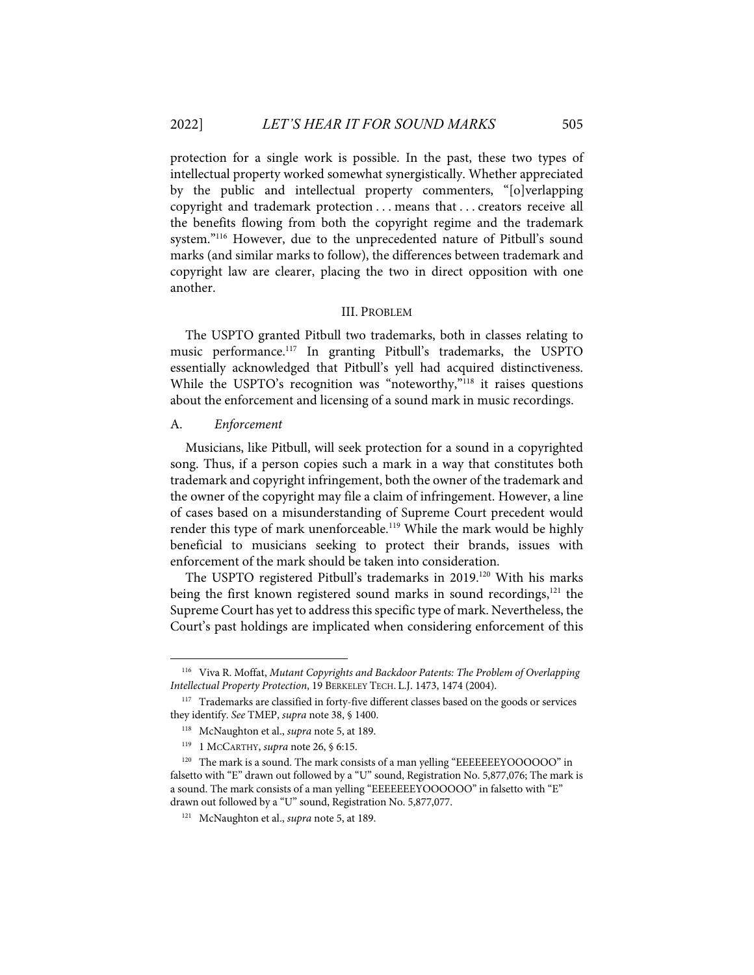protection for a single work is possible. In the past, these two types of intellectual property worked somewhat synergistically. Whether appreciated by the public and intellectual property commenters, "[o]verlapping copyright and trademark protection . . . means that . . . creators receive all the benefits flowing from both the copyright regime and the trademark system."116 However, due to the unprecedented nature of Pitbull's sound marks (and similar marks to follow), the differences between trademark and copyright law are clearer, placing the two in direct opposition with one another.

#### III. PROBLEM

The USPTO granted Pitbull two trademarks, both in classes relating to music performance.117 In granting Pitbull's trademarks, the USPTO essentially acknowledged that Pitbull's yell had acquired distinctiveness. While the USPTO's recognition was "noteworthy,"<sup>118</sup> it raises questions about the enforcement and licensing of a sound mark in music recordings.

#### A. *Enforcement*

Musicians, like Pitbull, will seek protection for a sound in a copyrighted song. Thus, if a person copies such a mark in a way that constitutes both trademark and copyright infringement, both the owner of the trademark and the owner of the copyright may file a claim of infringement. However, a line of cases based on a misunderstanding of Supreme Court precedent would render this type of mark unenforceable.<sup>119</sup> While the mark would be highly beneficial to musicians seeking to protect their brands, issues with enforcement of the mark should be taken into consideration.

The USPTO registered Pitbull's trademarks in 2019.<sup>120</sup> With his marks being the first known registered sound marks in sound recordings, <sup>121</sup> the Supreme Court has yet to address this specific type of mark. Nevertheless, the Court's past holdings are implicated when considering enforcement of this

<sup>116</sup> Viva R. Moffat, *Mutant Copyrights and Backdoor Patents: The Problem of Overlapping Intellectual Property Protection*, 19 BERKELEY TECH. L.J. 1473, 1474 (2004).

<sup>&</sup>lt;sup>117</sup> Trademarks are classified in forty-five different classes based on the goods or services they identify. *See* TMEP, *supra* note 38, § 1400.

<sup>118</sup> McNaughton et al., *supra* note 5, at 189.

<sup>119 1</sup> MCCARTHY, *supra* note 26, § 6:15.

<sup>&</sup>lt;sup>120</sup> The mark is a sound. The mark consists of a man yelling "EEEEEEEYOOOOOO" in falsetto with "E" drawn out followed by a "U" sound, Registration No. 5,877,076; The mark is a sound. The mark consists of a man yelling "EEEEEEEYOOOOOO" in falsetto with "E" drawn out followed by a "U" sound, Registration No. 5,877,077.

<sup>121</sup> McNaughton et al., *supra* note 5, at 189.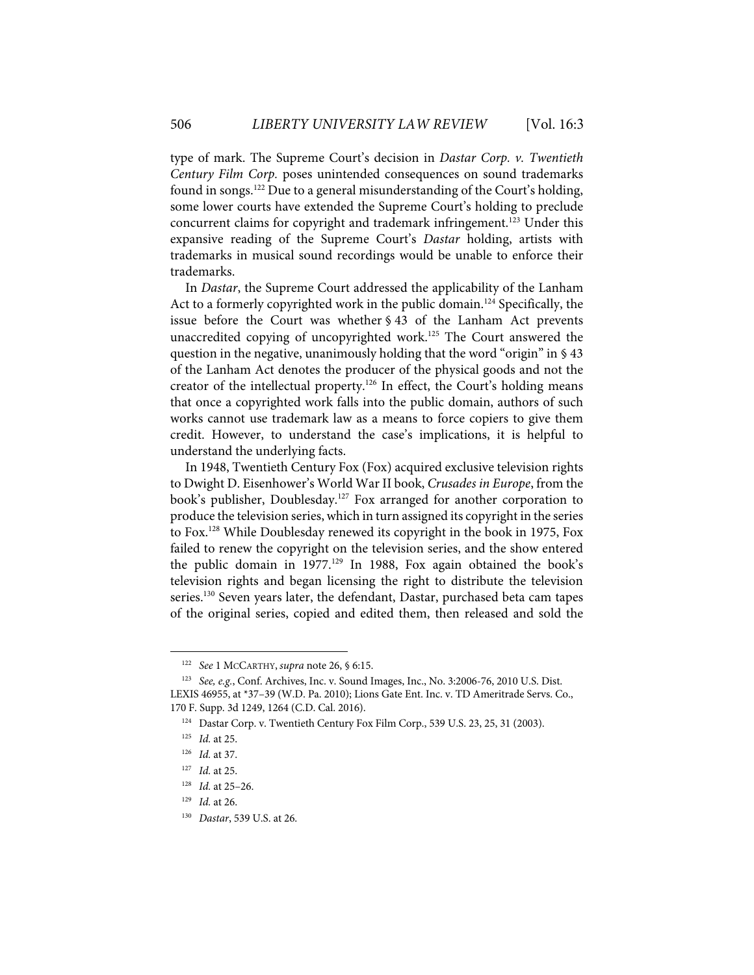type of mark. The Supreme Court's decision in *Dastar Corp. v. Twentieth Century Film Corp.* poses unintended consequences on sound trademarks found in songs.122 Due to a general misunderstanding of the Court's holding, some lower courts have extended the Supreme Court's holding to preclude concurrent claims for copyright and trademark infringement.<sup>123</sup> Under this expansive reading of the Supreme Court's *Dastar* holding, artists with trademarks in musical sound recordings would be unable to enforce their trademarks.

In *Dastar*, the Supreme Court addressed the applicability of the Lanham Act to a formerly copyrighted work in the public domain. <sup>124</sup> Specifically, the issue before the Court was whether § 43 of the Lanham Act prevents unaccredited copying of uncopyrighted work.<sup>125</sup> The Court answered the question in the negative, unanimously holding that the word "origin" in § 43 of the Lanham Act denotes the producer of the physical goods and not the creator of the intellectual property.<sup>126</sup> In effect, the Court's holding means that once a copyrighted work falls into the public domain, authors of such works cannot use trademark law as a means to force copiers to give them credit. However, to understand the case's implications, it is helpful to understand the underlying facts.

In 1948, Twentieth Century Fox (Fox) acquired exclusive television rights to Dwight D. Eisenhower's World War II book, *Crusades in Europe*, from the book's publisher, Doublesday.<sup>127</sup> Fox arranged for another corporation to produce the television series, which in turn assigned its copyright in the series to Fox.128 While Doublesday renewed its copyright in the book in 1975, Fox failed to renew the copyright on the television series, and the show entered the public domain in  $1977<sup>129</sup>$  In 1988, Fox again obtained the book's television rights and began licensing the right to distribute the television series.<sup>130</sup> Seven years later, the defendant, Dastar, purchased beta cam tapes of the original series, copied and edited them, then released and sold the

<sup>122</sup> *See* 1 MCCARTHY, *supra* note 26, § 6:15.

<sup>123</sup> *See, e.g.*, Conf. Archives, Inc. v. Sound Images, Inc., No. 3:2006-76, 2010 U.S. Dist. LEXIS 46955, at \*37–39 (W.D. Pa. 2010); Lions Gate Ent. Inc. v. TD Ameritrade Servs. Co., 170 F. Supp. 3d 1249, 1264 (C.D. Cal. 2016).

<sup>124</sup> Dastar Corp. v. Twentieth Century Fox Film Corp., 539 U.S. 23, 25, 31 (2003).

<sup>125</sup> *Id.* at 25.

<sup>126</sup> *Id.* at 37.

<sup>127</sup> *Id.* at 25.

<sup>128</sup> *Id.* at 25–26.

<sup>129</sup> *Id.* at 26.

<sup>130</sup> *Dastar*, 539 U.S. at 26.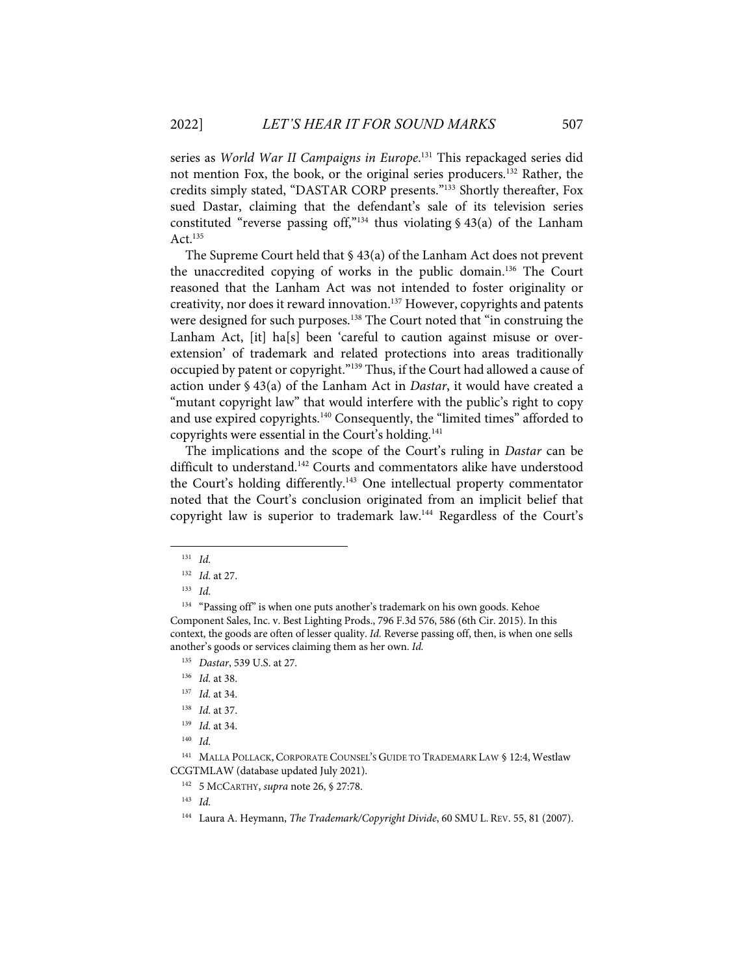series as *World War II Campaigns in Europe*. <sup>131</sup> This repackaged series did not mention Fox, the book, or the original series producers.132 Rather, the credits simply stated, "DASTAR CORP presents."133 Shortly thereafter, Fox sued Dastar, claiming that the defendant's sale of its television series constituted "reverse passing off,"<sup>134</sup> thus violating  $\frac{6}{3}$  43(a) of the Lanham Act. $135$ 

The Supreme Court held that § 43(a) of the Lanham Act does not prevent the unaccredited copying of works in the public domain.136 The Court reasoned that the Lanham Act was not intended to foster originality or creativity, nor does it reward innovation.<sup>137</sup> However, copyrights and patents were designed for such purposes. <sup>138</sup> The Court noted that "in construing the Lanham Act, [it] ha[s] been 'careful to caution against misuse or overextension' of trademark and related protections into areas traditionally occupied by patent or copyright."139 Thus, if the Court had allowed a cause of action under § 43(a) of the Lanham Act in *Dastar*, it would have created a "mutant copyright law" that would interfere with the public's right to copy and use expired copyrights.<sup>140</sup> Consequently, the "limited times" afforded to copyrights were essential in the Court's holding.141

The implications and the scope of the Court's ruling in *Dastar* can be difficult to understand. <sup>142</sup> Courts and commentators alike have understood the Court's holding differently.143 One intellectual property commentator noted that the Court's conclusion originated from an implicit belief that copyright law is superior to trademark law.144 Regardless of the Court's

135 *Dastar*, 539 U.S. at 27.

142 5 MCCARTHY, *supra* note 26, § 27:78.

<sup>131</sup> *Id.*

<sup>132</sup> *Id.* at 27.

<sup>133</sup> *Id.*

<sup>&</sup>lt;sup>134</sup> "Passing off" is when one puts another's trademark on his own goods. Kehoe Component Sales, Inc. v. Best Lighting Prods., 796 F.3d 576, 586 (6th Cir. 2015). In this context, the goods are often of lesser quality. *Id.* Reverse passing off, then, is when one sells another's goods or services claiming them as her own. *Id.*

<sup>136</sup> *Id.* at 38.

<sup>137</sup> *Id.* at 34.

<sup>138</sup> *Id.* at 37.

<sup>139</sup> *Id.* at 34.

<sup>140</sup> *Id.*

<sup>&</sup>lt;sup>141</sup> MALLA POLLACK, CORPORATE COUNSEL'S GUIDE TO TRADEMARK LAW § 12:4, Westlaw CCGTMLAW (database updated July 2021).

<sup>143</sup> *Id.* 

<sup>144</sup> Laura A. Heymann, *The Trademark/Copyright Divide*, 60 SMU L. REV. 55, 81 (2007).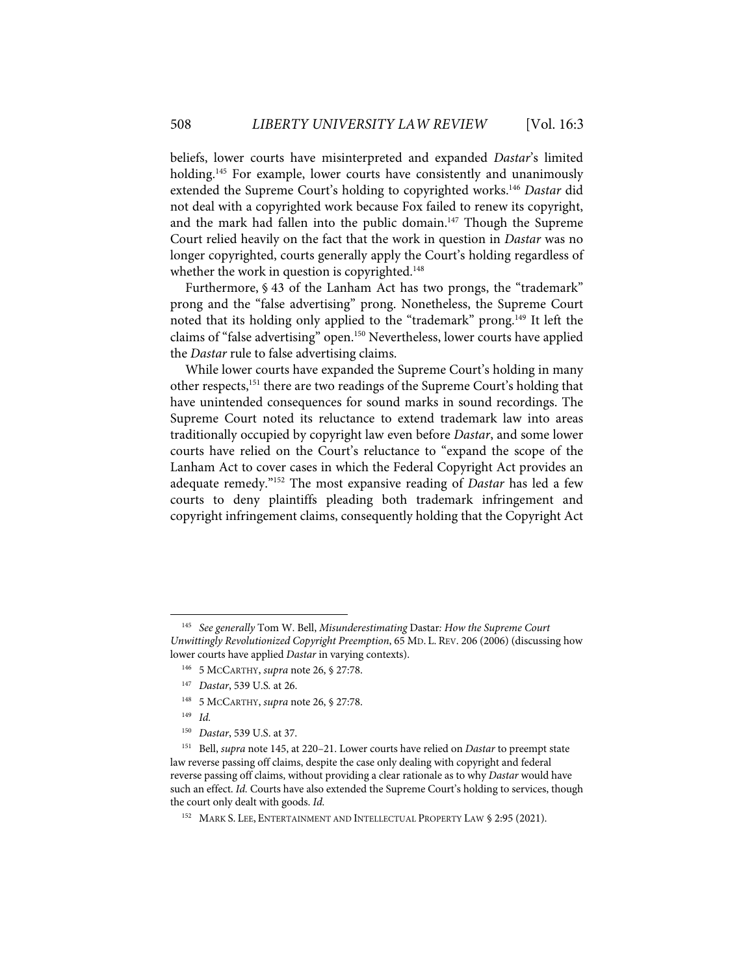beliefs, lower courts have misinterpreted and expanded *Dastar*'s limited holding.<sup>145</sup> For example, lower courts have consistently and unanimously extended the Supreme Court's holding to copyrighted works.<sup>146</sup> Dastar did not deal with a copyrighted work because Fox failed to renew its copyright, and the mark had fallen into the public domain.<sup>147</sup> Though the Supreme Court relied heavily on the fact that the work in question in *Dastar* was no longer copyrighted, courts generally apply the Court's holding regardless of whether the work in question is copyrighted.<sup>148</sup>

Furthermore, § 43 of the Lanham Act has two prongs, the "trademark" prong and the "false advertising" prong. Nonetheless, the Supreme Court noted that its holding only applied to the "trademark" prong.149 It left the claims of "false advertising" open.<sup>150</sup> Nevertheless, lower courts have applied the *Dastar* rule to false advertising claims.

While lower courts have expanded the Supreme Court's holding in many other respects,<sup>151</sup> there are two readings of the Supreme Court's holding that have unintended consequences for sound marks in sound recordings. The Supreme Court noted its reluctance to extend trademark law into areas traditionally occupied by copyright law even before *Dastar*, and some lower courts have relied on the Court's reluctance to "expand the scope of the Lanham Act to cover cases in which the Federal Copyright Act provides an adequate remedy."152 The most expansive reading of *Dastar* has led a few courts to deny plaintiffs pleading both trademark infringement and copyright infringement claims, consequently holding that the Copyright Act

- 146 5 MCCARTHY, *supra* note 26, § 27:78.
- 147 *Dastar*, 539 U.S*.* at 26.
- 148 5 MCCARTHY, *supra* note 26, § 27:78.

<sup>145</sup> *See generally* Tom W. Bell, *Misunderestimating* Dastar*: How the Supreme Court Unwittingly Revolutionized Copyright Preemption*, 65 MD. L. REV. 206 (2006) (discussing how lower courts have applied *Dastar* in varying contexts).

<sup>149</sup> *Id.* 

<sup>150</sup> *Dastar*, 539 U.S. at 37.

<sup>151</sup> Bell, *supra* note 145, at 220–21. Lower courts have relied on *Dastar* to preempt state law reverse passing off claims, despite the case only dealing with copyright and federal reverse passing off claims, without providing a clear rationale as to why *Dastar* would have such an effect. *Id.* Courts have also extended the Supreme Court's holding to services, though the court only dealt with goods. *Id.*

<sup>&</sup>lt;sup>152</sup> MARK S. LEE, ENTERTAINMENT AND INTELLECTUAL PROPERTY LAW § 2:95 (2021).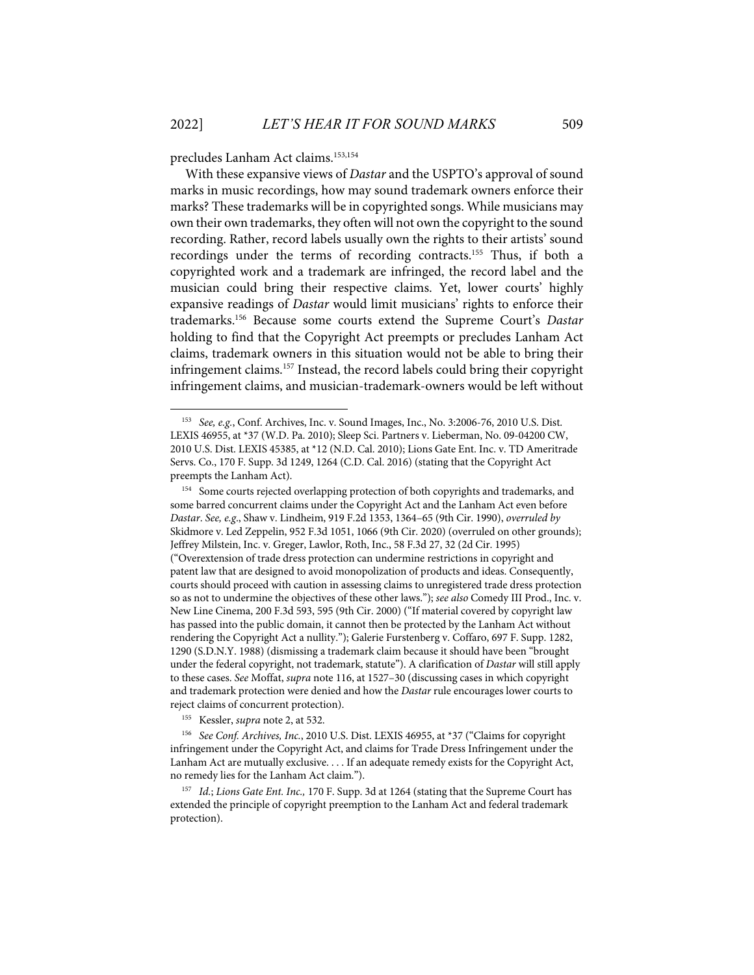precludes Lanham Act claims. 153,154

With these expansive views of *Dastar* and the USPTO's approval of sound marks in music recordings, how may sound trademark owners enforce their marks? These trademarks will be in copyrighted songs. While musicians may own their own trademarks, they often will not own the copyright to the sound recording. Rather, record labels usually own the rights to their artists' sound recordings under the terms of recording contracts.155 Thus, if both a copyrighted work and a trademark are infringed, the record label and the musician could bring their respective claims. Yet, lower courts' highly expansive readings of *Dastar* would limit musicians' rights to enforce their trademarks. <sup>156</sup> Because some courts extend the Supreme Court's *Dastar*  holding to find that the Copyright Act preempts or precludes Lanham Act claims, trademark owners in this situation would not be able to bring their infringement claims.157 Instead, the record labels could bring their copyright infringement claims, and musician-trademark-owners would be left without

155 Kessler, *supra* note 2, at 532.

156 *See Conf. Archives, Inc.*, 2010 U.S. Dist. LEXIS 46955, at \*37 ("Claims for copyright infringement under the Copyright Act, and claims for Trade Dress Infringement under the Lanham Act are mutually exclusive. . . . If an adequate remedy exists for the Copyright Act, no remedy lies for the Lanham Act claim.").

157 *Id.*; *Lions Gate Ent. Inc.,* 170 F. Supp. 3d at 1264 (stating that the Supreme Court has extended the principle of copyright preemption to the Lanham Act and federal trademark protection).

<sup>153</sup> *See, e.g.*, Conf. Archives, Inc. v. Sound Images, Inc., No. 3:2006-76, 2010 U.S. Dist. LEXIS 46955, at \*37 (W.D. Pa. 2010); Sleep Sci. Partners v. Lieberman, No. 09-04200 CW, 2010 U.S. Dist. LEXIS 45385, at \*12 (N.D. Cal. 2010); Lions Gate Ent. Inc. v. TD Ameritrade Servs. Co., 170 F. Supp. 3d 1249, 1264 (C.D. Cal. 2016) (stating that the Copyright Act preempts the Lanham Act).

<sup>&</sup>lt;sup>154</sup> Some courts rejected overlapping protection of both copyrights and trademarks, and some barred concurrent claims under the Copyright Act and the Lanham Act even before *Dastar*. *See, e.g*., Shaw v. Lindheim, 919 F.2d 1353, 1364–65 (9th Cir. 1990), *overruled by* Skidmore v. Led Zeppelin, 952 F.3d 1051, 1066 (9th Cir. 2020) (overruled on other grounds); Jeffrey Milstein, Inc. v. Greger, Lawlor, Roth, Inc., 58 F.3d 27, 32 (2d Cir. 1995) ("Overextension of trade dress protection can undermine restrictions in copyright and patent law that are designed to avoid monopolization of products and ideas. Consequently, courts should proceed with caution in assessing claims to unregistered trade dress protection so as not to undermine the objectives of these other laws."); *see also* Comedy III Prod., Inc. v. New Line Cinema, 200 F.3d 593, 595 (9th Cir. 2000) ("If material covered by copyright law has passed into the public domain, it cannot then be protected by the Lanham Act without rendering the Copyright Act a nullity."); Galerie Furstenberg v. Coffaro, 697 F. Supp. 1282, 1290 (S.D.N.Y. 1988) (dismissing a trademark claim because it should have been "brought under the federal copyright, not trademark, statute"). A clarification of *Dastar* will still apply to these cases. *See* Moffat, *supra* note 116, at 1527–30 (discussing cases in which copyright and trademark protection were denied and how the *Dastar* rule encourages lower courts to reject claims of concurrent protection).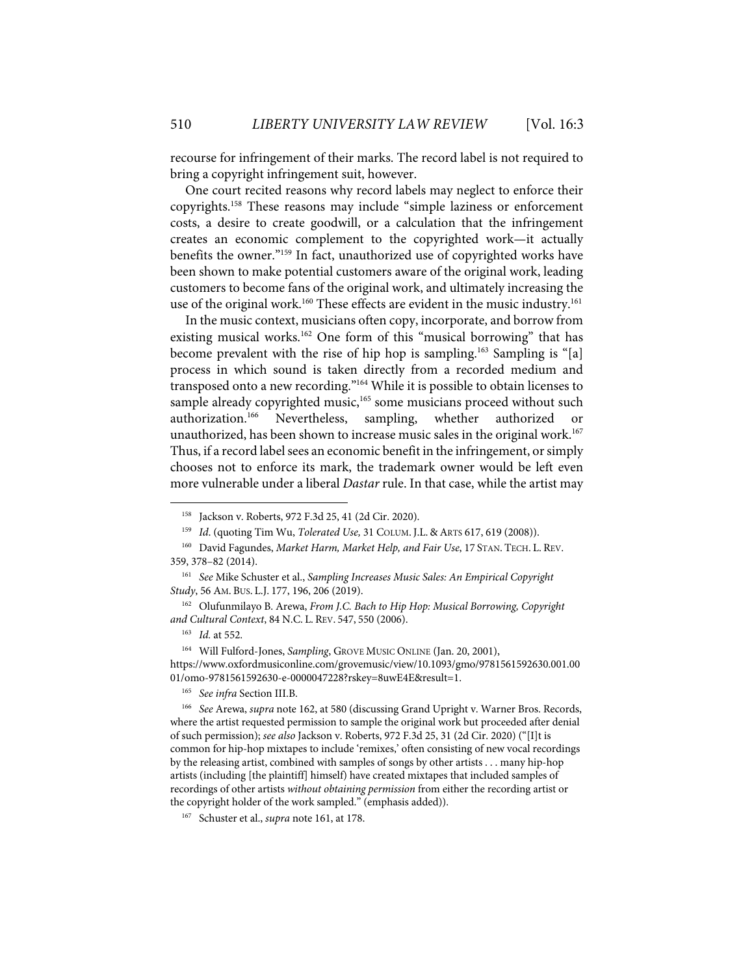recourse for infringement of their marks. The record label is not required to bring a copyright infringement suit, however.

One court recited reasons why record labels may neglect to enforce their copyrights.158 These reasons may include "simple laziness or enforcement costs, a desire to create goodwill, or a calculation that the infringement creates an economic complement to the copyrighted work—it actually benefits the owner."159 In fact, unauthorized use of copyrighted works have been shown to make potential customers aware of the original work, leading customers to become fans of the original work, and ultimately increasing the use of the original work.<sup>160</sup> These effects are evident in the music industry.<sup>161</sup>

In the music context, musicians often copy, incorporate, and borrow from existing musical works.<sup>162</sup> One form of this "musical borrowing" that has become prevalent with the rise of hip hop is sampling.163 Sampling is "[a] process in which sound is taken directly from a recorded medium and transposed onto a new recording."164 While it is possible to obtain licenses to sample already copyrighted music,<sup>165</sup> some musicians proceed without such authorization.166 Nevertheless, sampling, whether authorized or unauthorized, has been shown to increase music sales in the original work. 167 Thus, if a record label sees an economic benefit in the infringement, or simply chooses not to enforce its mark, the trademark owner would be left even more vulnerable under a liberal *Dastar* rule. In that case, while the artist may

<sup>158</sup> Jackson v. Roberts, 972 F.3d 25, 41 (2d Cir. 2020).

<sup>159</sup> *Id*. (quoting Tim Wu, *Tolerated Use,* 31 COLUM. J.L. & ARTS 617, 619 (2008)).

<sup>160</sup> David Fagundes, *Market Harm, Market Help, and Fair Use*, 17 STAN. TECH. L. REV. 359, 378–82 (2014).

<sup>161</sup> *See* Mike Schuster et al., *Sampling Increases Music Sales: An Empirical Copyright Study*, 56 AM. BUS. L.J. 177, 196, 206 (2019).

<sup>162</sup> Olufunmilayo B. Arewa, *From J.C. Bach to Hip Hop: Musical Borrowing, Copyright and Cultural Context*, 84 N.C. L. REV. 547, 550 (2006).

<sup>163</sup> *Id.* at 552.

<sup>164</sup> Will Fulford-Jones, *Sampling*, GROVE MUSIC ONLINE (Jan. 20, 2001), https://www.oxfordmusiconline.com/grovemusic/view/10.1093/gmo/9781561592630.001.00 01/omo-9781561592630-e-0000047228?rskey=8uwE4E&result=1.

<sup>165</sup> *See infra* Section III.B.

<sup>166</sup> *See* Arewa, *supra* note 162, at 580 (discussing Grand Upright v. Warner Bros. Records, where the artist requested permission to sample the original work but proceeded after denial of such permission); *see also* Jackson v. Roberts, 972 F.3d 25, 31 (2d Cir. 2020) ("[I]t is common for hip-hop mixtapes to include 'remixes,' often consisting of new vocal recordings by the releasing artist, combined with samples of songs by other artists . . . many hip-hop artists (including [the plaintiff] himself) have created mixtapes that included samples of recordings of other artists *without obtaining permission* from either the recording artist or the copyright holder of the work sampled." (emphasis added)).

<sup>167</sup> Schuster et al., *supra* note 161, at 178.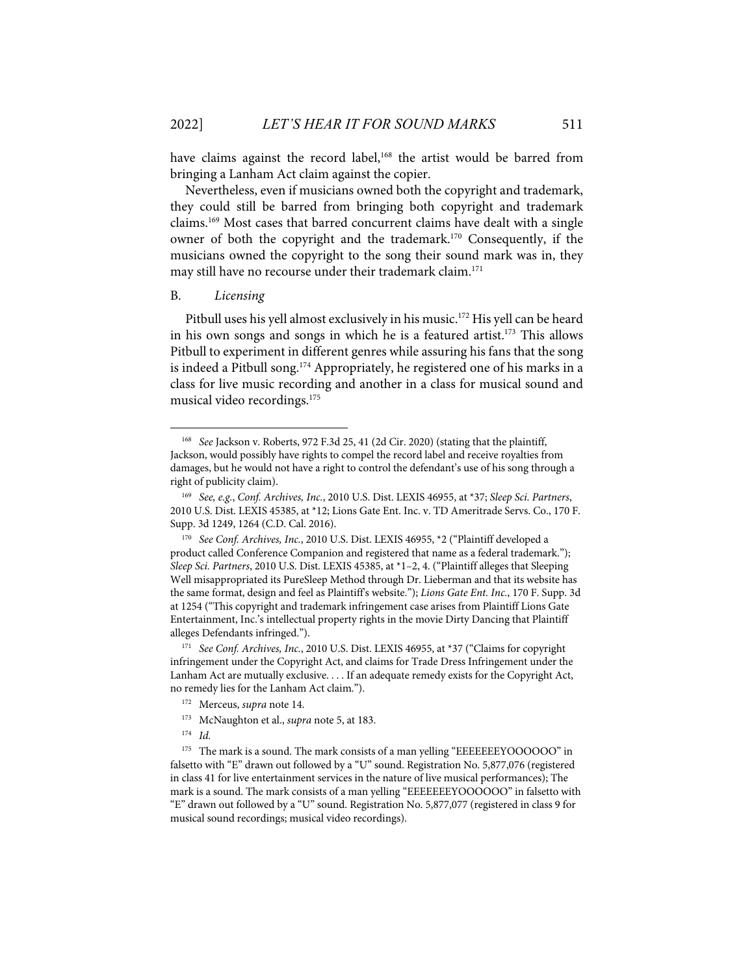have claims against the record label,<sup>168</sup> the artist would be barred from bringing a Lanham Act claim against the copier.

Nevertheless, even if musicians owned both the copyright and trademark, they could still be barred from bringing both copyright and trademark claims.169 Most cases that barred concurrent claims have dealt with a single owner of both the copyright and the trademark.170 Consequently, if the musicians owned the copyright to the song their sound mark was in, they may still have no recourse under their trademark claim.171

#### B. *Licensing*

Pitbull uses his yell almost exclusively in his music.<sup>172</sup> His yell can be heard in his own songs and songs in which he is a featured artist.<sup>173</sup> This allows Pitbull to experiment in different genres while assuring his fans that the song is indeed a Pitbull song.<sup>174</sup> Appropriately, he registered one of his marks in a class for live music recording and another in a class for musical sound and musical video recordings.<sup>175</sup>

<sup>168</sup> *See* Jackson v. Roberts, 972 F.3d 25, 41 (2d Cir. 2020) (stating that the plaintiff, Jackson, would possibly have rights to compel the record label and receive royalties from damages, but he would not have a right to control the defendant's use of his song through a right of publicity claim).

<sup>169</sup> *See, e.g.*, *Conf. Archives, Inc.*, 2010 U.S. Dist. LEXIS 46955, at \*37; *Sleep Sci. Partners*, 2010 U.S. Dist. LEXIS 45385, at \*12; Lions Gate Ent. Inc. v. TD Ameritrade Servs. Co., 170 F. Supp. 3d 1249, 1264 (C.D. Cal. 2016).

<sup>170</sup> *See Conf. Archives, Inc.*, 2010 U.S. Dist. LEXIS 46955, \*2 ("Plaintiff developed a product called Conference Companion and registered that name as a federal trademark."); *Sleep Sci. Partners*, 2010 U.S. Dist. LEXIS 45385, at \*1–2, 4. ("Plaintiff alleges that Sleeping Well misappropriated its PureSleep Method through Dr. Lieberman and that its website has the same format, design and feel as Plaintiff's website."); *Lions Gate Ent. Inc.*, 170 F. Supp. 3d at 1254 ("This copyright and trademark infringement case arises from Plaintiff Lions Gate Entertainment, Inc.'s intellectual property rights in the movie Dirty Dancing that Plaintiff alleges Defendants infringed.").

<sup>171</sup> *See Conf. Archives, Inc.*, 2010 U.S. Dist. LEXIS 46955, at \*37 ("Claims for copyright infringement under the Copyright Act, and claims for Trade Dress Infringement under the Lanham Act are mutually exclusive. . . . If an adequate remedy exists for the Copyright Act, no remedy lies for the Lanham Act claim.").

<sup>172</sup> Merceus, *supra* note 14.

<sup>173</sup> McNaughton et al., *supra* note 5, at 183.

<sup>174</sup> *Id.*

<sup>&</sup>lt;sup>175</sup> The mark is a sound. The mark consists of a man yelling "EEEEEEEYOOOOOO" in falsetto with "E" drawn out followed by a "U" sound. Registration No. 5,877,076 (registered in class 41 for live entertainment services in the nature of live musical performances); The mark is a sound. The mark consists of a man yelling "EEEEEEEYOOOOOO" in falsetto with "E" drawn out followed by a "U" sound. Registration No. 5,877,077 (registered in class 9 for musical sound recordings; musical video recordings).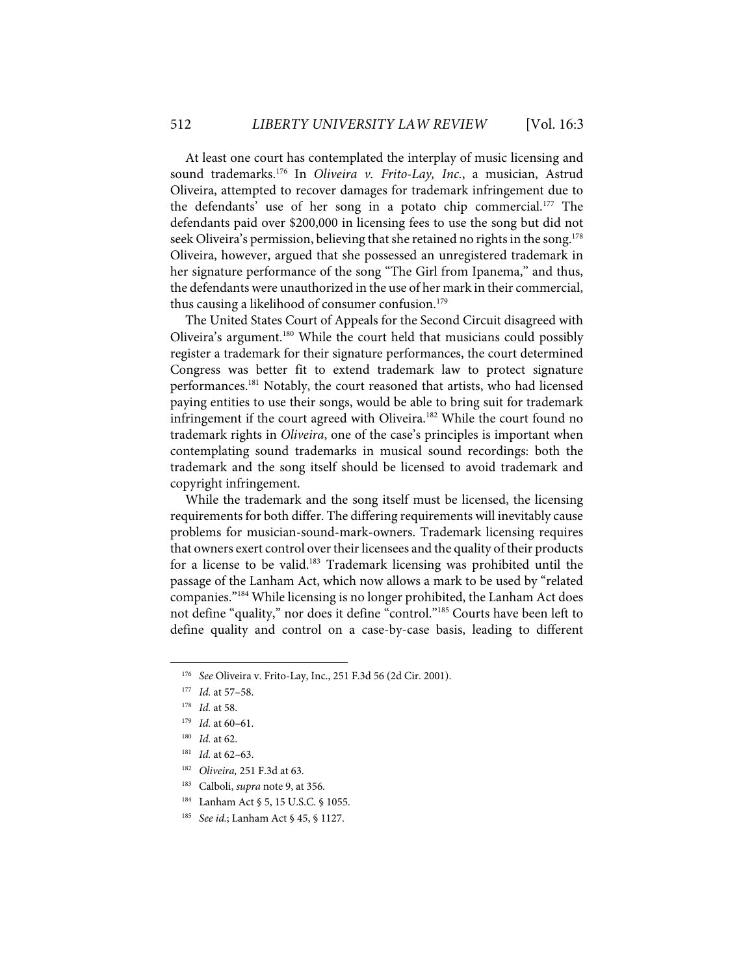At least one court has contemplated the interplay of music licensing and sound trademarks.176 In *Oliveira v. Frito-Lay, Inc.*, a musician, Astrud Oliveira, attempted to recover damages for trademark infringement due to the defendants' use of her song in a potato chip commercial.177 The defendants paid over \$200,000 in licensing fees to use the song but did not seek Oliveira's permission, believing that she retained no rights in the song.<sup>178</sup> Oliveira, however, argued that she possessed an unregistered trademark in her signature performance of the song "The Girl from Ipanema," and thus, the defendants were unauthorized in the use of her mark in their commercial, thus causing a likelihood of consumer confusion.<sup>179</sup>

The United States Court of Appeals for the Second Circuit disagreed with Oliveira's argument.180 While the court held that musicians could possibly register a trademark for their signature performances, the court determined Congress was better fit to extend trademark law to protect signature performances.181 Notably, the court reasoned that artists, who had licensed paying entities to use their songs, would be able to bring suit for trademark infringement if the court agreed with Oliveira.<sup>182</sup> While the court found no trademark rights in *Oliveira*, one of the case's principles is important when contemplating sound trademarks in musical sound recordings: both the trademark and the song itself should be licensed to avoid trademark and copyright infringement.

While the trademark and the song itself must be licensed, the licensing requirements for both differ. The differing requirements will inevitably cause problems for musician-sound-mark-owners. Trademark licensing requires that owners exert control over their licensees and the quality of their products for a license to be valid. <sup>183</sup> Trademark licensing was prohibited until the passage of the Lanham Act, which now allows a mark to be used by "related companies."184 While licensing is no longer prohibited, the Lanham Act does not define "quality," nor does it define "control."185 Courts have been left to define quality and control on a case-by-case basis, leading to different

- 182 *Oliveira,* 251 F.3d at 63.
- 183 Calboli, *supra* note 9, at 356.
- 184 Lanham Act § 5, 15 U.S.C. § 1055.
- 185 *See id.*; Lanham Act § 45, § 1127.

<sup>176</sup> *See* Oliveira v. Frito-Lay, Inc., 251 F.3d 56 (2d Cir. 2001).

<sup>177</sup> *Id.* at 57–58.

<sup>178</sup> *Id.* at 58.

<sup>179</sup> *Id.* at 60–61.

<sup>180</sup> *Id.* at 62.

<sup>181</sup> *Id.* at 62–63.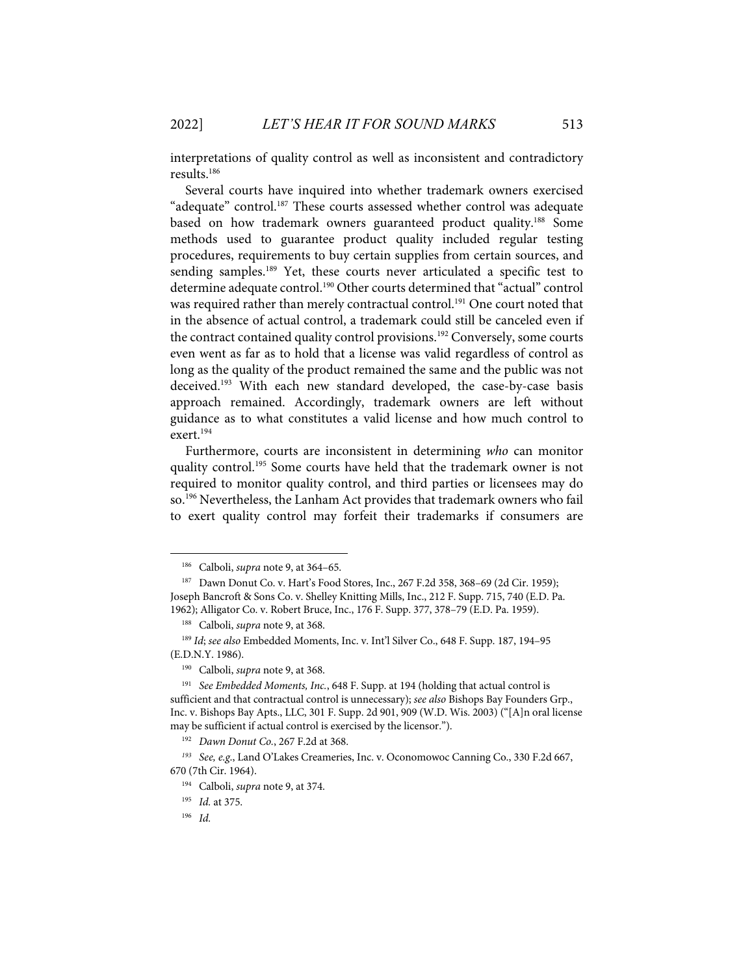interpretations of quality control as well as inconsistent and contradictory results.186

Several courts have inquired into whether trademark owners exercised "adequate" control.<sup>187</sup> These courts assessed whether control was adequate based on how trademark owners guaranteed product quality.188 Some methods used to guarantee product quality included regular testing procedures, requirements to buy certain supplies from certain sources, and sending samples.<sup>189</sup> Yet, these courts never articulated a specific test to determine adequate control.<sup>190</sup> Other courts determined that "actual" control was required rather than merely contractual control.<sup>191</sup> One court noted that in the absence of actual control, a trademark could still be canceled even if the contract contained quality control provisions.<sup>192</sup> Conversely, some courts even went as far as to hold that a license was valid regardless of control as long as the quality of the product remained the same and the public was not deceived.<sup>193</sup> With each new standard developed, the case-by-case basis approach remained. Accordingly, trademark owners are left without guidance as to what constitutes a valid license and how much control to exert.194

Furthermore, courts are inconsistent in determining *who* can monitor quality control.<sup>195</sup> Some courts have held that the trademark owner is not required to monitor quality control, and third parties or licensees may do so.<sup>196</sup> Nevertheless, the Lanham Act provides that trademark owners who fail to exert quality control may forfeit their trademarks if consumers are

190 Calboli, *supra* note 9, at 368.

<sup>186</sup> Calboli, *supra* note 9, at 364–65.

<sup>187</sup> Dawn Donut Co. v. Hart's Food Stores, Inc., 267 F.2d 358, 368–69 (2d Cir. 1959); Joseph Bancroft & Sons Co. v. Shelley Knitting Mills, Inc., 212 F. Supp. 715, 740 (E.D. Pa. 1962); Alligator Co. v. Robert Bruce, Inc., 176 F. Supp. 377, 378–79 (E.D. Pa. 1959).

<sup>188</sup> Calboli, *supra* note 9, at 368.

<sup>189</sup> *Id*; *see also* Embedded Moments, Inc. v. Int'l Silver Co., 648 F. Supp. 187, 194–95 (E.D.N.Y. 1986).

<sup>191</sup> *See Embedded Moments, Inc.*, 648 F. Supp. at 194 (holding that actual control is sufficient and that contractual control is unnecessary); *see also* Bishops Bay Founders Grp., Inc. v. Bishops Bay Apts., LLC, 301 F. Supp. 2d 901, 909 (W.D. Wis. 2003) ("[A]n oral license may be sufficient if actual control is exercised by the licensor.").

<sup>192</sup> *Dawn Donut Co.*, 267 F.2d at 368.

*<sup>193</sup> See, e.g*., Land O'Lakes Creameries, Inc. v. Oconomowoc Canning Co., 330 F.2d 667, 670 (7th Cir. 1964).

<sup>194</sup> Calboli, *supra* note 9, at 374.

<sup>195</sup> *Id.* at 375.

<sup>196</sup> *Id.*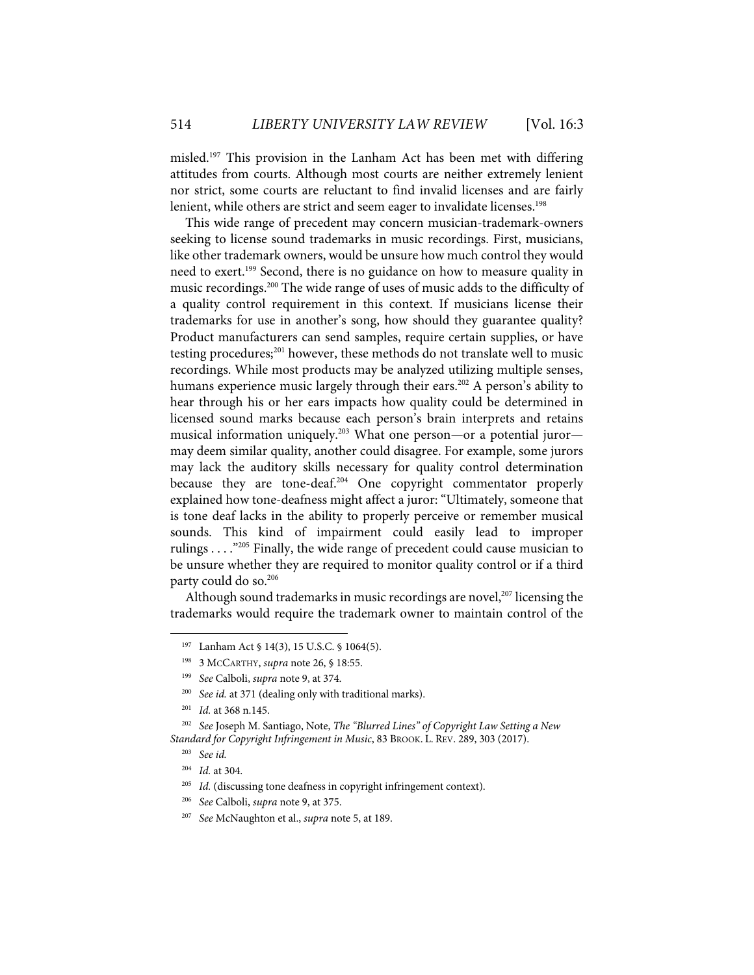misled.197 This provision in the Lanham Act has been met with differing attitudes from courts. Although most courts are neither extremely lenient nor strict, some courts are reluctant to find invalid licenses and are fairly lenient, while others are strict and seem eager to invalidate licenses. 198

This wide range of precedent may concern musician-trademark-owners seeking to license sound trademarks in music recordings. First, musicians, like other trademark owners, would be unsure how much control they would need to exert.199 Second, there is no guidance on how to measure quality in music recordings.200 The wide range of uses of music adds to the difficulty of a quality control requirement in this context. If musicians license their trademarks for use in another's song, how should they guarantee quality? Product manufacturers can send samples, require certain supplies, or have testing procedures;201 however, these methods do not translate well to music recordings. While most products may be analyzed utilizing multiple senses, humans experience music largely through their ears.<sup>202</sup> A person's ability to hear through his or her ears impacts how quality could be determined in licensed sound marks because each person's brain interprets and retains musical information uniquely. <sup>203</sup> What one person—or a potential juror may deem similar quality, another could disagree. For example, some jurors may lack the auditory skills necessary for quality control determination because they are tone-deaf. <sup>204</sup> One copyright commentator properly explained how tone-deafness might affect a juror: "Ultimately, someone that is tone deaf lacks in the ability to properly perceive or remember musical sounds. This kind of impairment could easily lead to improper rulings . . . ."205 Finally, the wide range of precedent could cause musician to be unsure whether they are required to monitor quality control or if a third party could do so. 206

Although sound trademarks in music recordings are novel,<sup>207</sup> licensing the trademarks would require the trademark owner to maintain control of the

<sup>197</sup> Lanham Act § 14(3), 15 U.S.C. § 1064(5).

<sup>198 3</sup> MCCARTHY, *supra* note 26, § 18:55.

<sup>199</sup> *See* Calboli, *supra* note 9, at 374.

<sup>&</sup>lt;sup>200</sup> *See id.* at 371 (dealing only with traditional marks).

<sup>201</sup> *Id.* at 368 n.145.

<sup>202</sup> *See* Joseph M. Santiago, Note, *The "Blurred Lines" of Copyright Law Setting a New Standard for Copyright Infringement in Music*, 83 BROOK. L. REV. 289, 303 (2017).

<sup>203</sup> *See id.*

<sup>204</sup> *Id.* at 304.

<sup>&</sup>lt;sup>205</sup> *Id.* (discussing tone deafness in copyright infringement context).

<sup>206</sup> *See* Calboli, *supra* note 9, at 375.

<sup>207</sup> *See* McNaughton et al., *supra* note 5, at 189.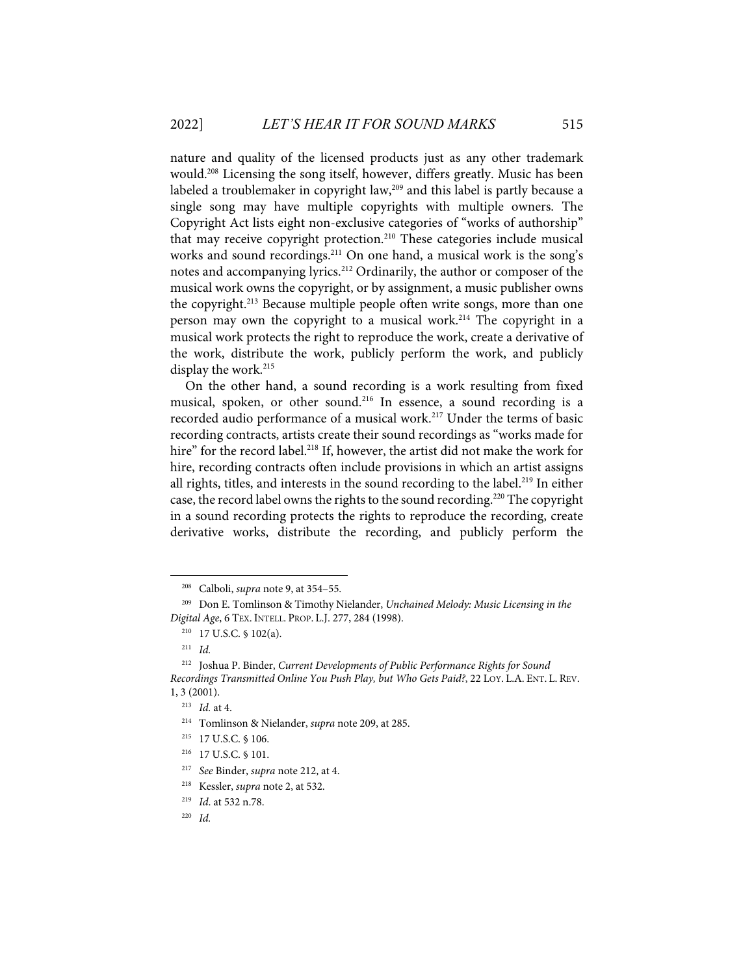nature and quality of the licensed products just as any other trademark would.208 Licensing the song itself, however, differs greatly. Music has been labeled a troublemaker in copyright law,<sup>209</sup> and this label is partly because a single song may have multiple copyrights with multiple owners. The Copyright Act lists eight non-exclusive categories of "works of authorship" that may receive copyright protection.<sup>210</sup> These categories include musical works and sound recordings.<sup>211</sup> On one hand, a musical work is the song's notes and accompanying lyrics.212 Ordinarily, the author or composer of the musical work owns the copyright, or by assignment, a music publisher owns the copyright.<sup>213</sup> Because multiple people often write songs, more than one person may own the copyright to a musical work.<sup>214</sup> The copyright in a musical work protects the right to reproduce the work, create a derivative of the work, distribute the work, publicly perform the work, and publicly display the work.<sup>215</sup>

On the other hand, a sound recording is a work resulting from fixed musical, spoken, or other sound.<sup>216</sup> In essence, a sound recording is a recorded audio performance of a musical work.<sup>217</sup> Under the terms of basic recording contracts, artists create their sound recordings as "works made for hire" for the record label.<sup>218</sup> If, however, the artist did not make the work for hire, recording contracts often include provisions in which an artist assigns all rights, titles, and interests in the sound recording to the label.<sup>219</sup> In either case, the record label owns the rights to the sound recording.<sup>220</sup> The copyright in a sound recording protects the rights to reproduce the recording, create derivative works, distribute the recording, and publicly perform the

<sup>208</sup> Calboli, *supra* note 9, at 354–55.

<sup>209</sup> Don E. Tomlinson & Timothy Nielander, *Unchained Melody: Music Licensing in the Digital Age*, 6 TEX. INTELL. PROP. L.J. 277, 284 (1998).

<sup>210 17</sup> U.S.C. § 102(a).

<sup>211</sup> *Id.* 

<sup>212</sup> Joshua P. Binder, *Current Developments of Public Performance Rights for Sound Recordings Transmitted Online You Push Play, but Who Gets Paid?*, 22 LOY. L.A. ENT. L. REV. 1, 3 (2001).

<sup>213</sup> *Id.* at 4.

<sup>214</sup> Tomlinson & Nielander, *supra* note 209, at 285.

<sup>215 17</sup> U.S.C. § 106.

<sup>216 17</sup> U.S.C. § 101.

<sup>217</sup> *See* Binder, *supra* note 212, at 4.

<sup>218</sup> Kessler, *supra* note 2, at 532.

<sup>219</sup> *Id*. at 532 n.78.

<sup>220</sup> *Id.*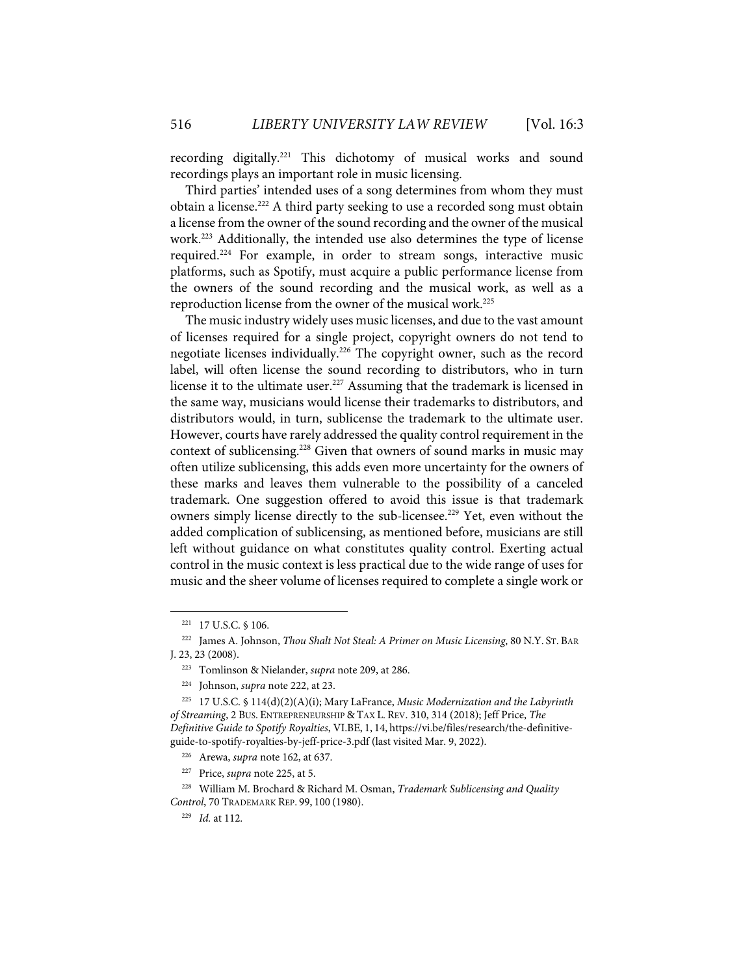recording digitally.221 This dichotomy of musical works and sound recordings plays an important role in music licensing.

Third parties' intended uses of a song determines from whom they must obtain a license.222 A third party seeking to use a recorded song must obtain a license from the owner of the sound recording and the owner of the musical work.223 Additionally, the intended use also determines the type of license required.224 For example, in order to stream songs, interactive music platforms, such as Spotify, must acquire a public performance license from the owners of the sound recording and the musical work, as well as a reproduction license from the owner of the musical work.<sup>225</sup>

The music industry widely uses music licenses, and due to the vast amount of licenses required for a single project, copyright owners do not tend to negotiate licenses individually.226 The copyright owner, such as the record label, will often license the sound recording to distributors, who in turn license it to the ultimate user.<sup>227</sup> Assuming that the trademark is licensed in the same way, musicians would license their trademarks to distributors, and distributors would, in turn, sublicense the trademark to the ultimate user. However, courts have rarely addressed the quality control requirement in the context of sublicensing.<sup>228</sup> Given that owners of sound marks in music may often utilize sublicensing, this adds even more uncertainty for the owners of these marks and leaves them vulnerable to the possibility of a canceled trademark. One suggestion offered to avoid this issue is that trademark owners simply license directly to the sub-licensee.<sup>229</sup> Yet, even without the added complication of sublicensing, as mentioned before, musicians are still left without guidance on what constitutes quality control. Exerting actual control in the music context is less practical due to the wide range of uses for music and the sheer volume of licenses required to complete a single work or

<sup>221 17</sup> U.S.C. § 106.

<sup>222</sup> James A. Johnson, *Thou Shalt Not Steal: A Primer on Music Licensing*, 80 N.Y. ST. BAR J. 23, 23 (2008).

<sup>223</sup> Tomlinson & Nielander, *supra* note 209, at 286.

<sup>224</sup> Johnson, *supra* note 222, at 23.

<sup>225 17</sup> U.S.C. § 114(d)(2)(A)(i); Mary LaFrance, *Music Modernization and the Labyrinth of Streaming*, 2 BUS. ENTREPRENEURSHIP & TAX L. REV. 310, 314 (2018); Jeff Price, *The Definitive Guide to Spotify Royalties*, VI.BE, 1, 14, https://vi.be/files/research/the-definitiveguide-to-spotify-royalties-by-jeff-price-3.pdf (last visited Mar. 9, 2022).

<sup>226</sup> Arewa, *supra* note 162, at 637.

<sup>227</sup> Price, *supra* note 225, at 5.

<sup>228</sup> William M. Brochard & Richard M. Osman, *Trademark Sublicensing and Quality Control*, 70 TRADEMARK REP. 99, 100 (1980).

<sup>229</sup> *Id.* at 112.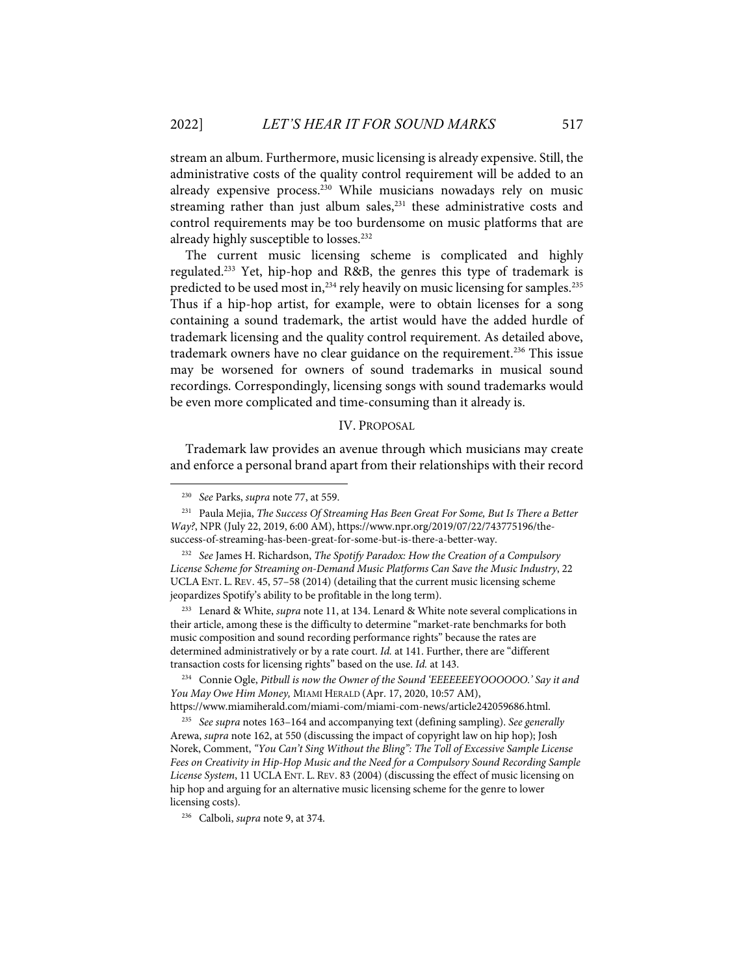stream an album. Furthermore, music licensing is already expensive. Still, the administrative costs of the quality control requirement will be added to an already expensive process.<sup>230</sup> While musicians nowadays rely on music streaming rather than just album sales, $231$  these administrative costs and control requirements may be too burdensome on music platforms that are already highly susceptible to losses.<sup>232</sup>

The current music licensing scheme is complicated and highly regulated.233 Yet, hip-hop and R&B, the genres this type of trademark is predicted to be used most in,  $^{234}$  rely heavily on music licensing for samples.<sup>235</sup> Thus if a hip-hop artist, for example, were to obtain licenses for a song containing a sound trademark, the artist would have the added hurdle of trademark licensing and the quality control requirement. As detailed above, trademark owners have no clear guidance on the requirement. <sup>236</sup> This issue may be worsened for owners of sound trademarks in musical sound recordings. Correspondingly, licensing songs with sound trademarks would be even more complicated and time-consuming than it already is.

#### IV. PROPOSAL

Trademark law provides an avenue through which musicians may create and enforce a personal brand apart from their relationships with their record

233 Lenard & White, *supra* note 11, at 134. Lenard & White note several complications in their article, among these is the difficulty to determine "market-rate benchmarks for both music composition and sound recording performance rights" because the rates are determined administratively or by a rate court. *Id.* at 141. Further, there are "different transaction costs for licensing rights" based on the use. *Id.* at 143.

https://www.miamiherald.com/miami-com/miami-com-news/article242059686.html.

235 *See supra* notes 163–164 and accompanying text (defining sampling). *See generally*  Arewa, *supra* note 162, at 550 (discussing the impact of copyright law on hip hop); Josh Norek, Comment, *"You Can't Sing Without the Bling": The Toll of Excessive Sample License Fees on Creativity in Hip-Hop Music and the Need for a Compulsory Sound Recording Sample License System*, 11 UCLAENT. L. REV. 83 (2004) (discussing the effect of music licensing on hip hop and arguing for an alternative music licensing scheme for the genre to lower licensing costs).

236 Calboli, *supra* note 9, at 374.

<sup>230</sup> *See* Parks, *supra* note 77, at 559.

<sup>231</sup> Paula Mejia, *The Success Of Streaming Has Been Great For Some, But Is There a Better Way?*, NPR (July 22, 2019, 6:00 AM), https://www.npr.org/2019/07/22/743775196/thesuccess-of-streaming-has-been-great-for-some-but-is-there-a-better-way.

<sup>232</sup> *See* James H. Richardson, *The Spotify Paradox: How the Creation of a Compulsory License Scheme for Streaming on-Demand Music Platforms Can Save the Music Industry*, 22 UCLAENT. L. REV. 45, 57–58 (2014) (detailing that the current music licensing scheme jeopardizes Spotify's ability to be profitable in the long term).

<sup>234</sup> Connie Ogle, *Pitbull is now the Owner of the Sound 'EEEEEEEYOOOOOO.' Say it and You May Owe Him Money,* MIAMI HERALD (Apr. 17, 2020, 10:57 AM),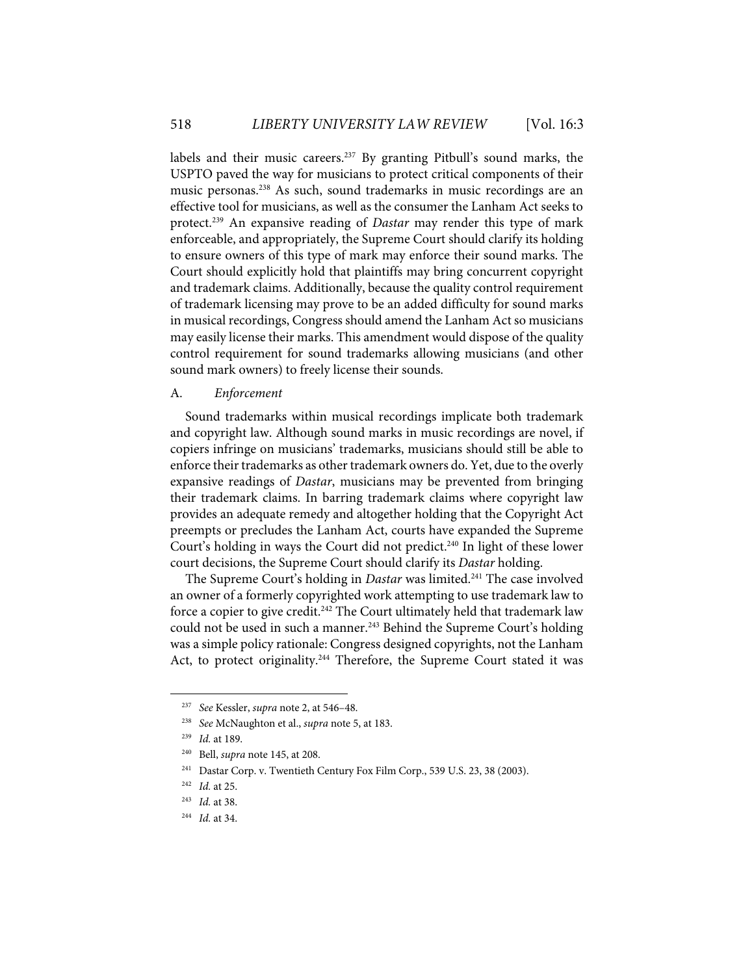labels and their music careers.<sup>237</sup> By granting Pitbull's sound marks, the USPTO paved the way for musicians to protect critical components of their music personas.238 As such, sound trademarks in music recordings are an effective tool for musicians, as well as the consumer the Lanham Act seeks to protect.<sup>239</sup> An expansive reading of *Dastar* may render this type of mark enforceable, and appropriately, the Supreme Court should clarify its holding to ensure owners of this type of mark may enforce their sound marks. The Court should explicitly hold that plaintiffs may bring concurrent copyright and trademark claims. Additionally, because the quality control requirement of trademark licensing may prove to be an added difficulty for sound marks in musical recordings, Congress should amend the Lanham Act so musicians may easily license their marks. This amendment would dispose of the quality control requirement for sound trademarks allowing musicians (and other sound mark owners) to freely license their sounds.

#### A. *Enforcement*

Sound trademarks within musical recordings implicate both trademark and copyright law. Although sound marks in music recordings are novel, if copiers infringe on musicians' trademarks, musicians should still be able to enforce their trademarks as other trademark owners do. Yet, due to the overly expansive readings of *Dastar*, musicians may be prevented from bringing their trademark claims. In barring trademark claims where copyright law provides an adequate remedy and altogether holding that the Copyright Act preempts or precludes the Lanham Act, courts have expanded the Supreme Court's holding in ways the Court did not predict.<sup>240</sup> In light of these lower court decisions, the Supreme Court should clarify its *Dastar* holding.

The Supreme Court's holding in *Dastar* was limited.<sup>241</sup> The case involved an owner of a formerly copyrighted work attempting to use trademark law to force a copier to give credit.<sup>242</sup> The Court ultimately held that trademark law could not be used in such a manner.<sup>243</sup> Behind the Supreme Court's holding was a simple policy rationale: Congress designed copyrights, not the Lanham Act, to protect originality.<sup>244</sup> Therefore, the Supreme Court stated it was

<sup>237</sup> *See* Kessler, *supra* note 2, at 546–48.

<sup>238</sup> *See* McNaughton et al., *supra* note 5, at 183.

<sup>239</sup> *Id.* at 189.

<sup>240</sup> Bell, *supra* note 145, at 208.

<sup>241</sup> Dastar Corp. v. Twentieth Century Fox Film Corp., 539 U.S. 23, 38 (2003).

<sup>242</sup> *Id.* at 25.

<sup>243</sup> *Id.* at 38.

<sup>244</sup> *Id.* at 34.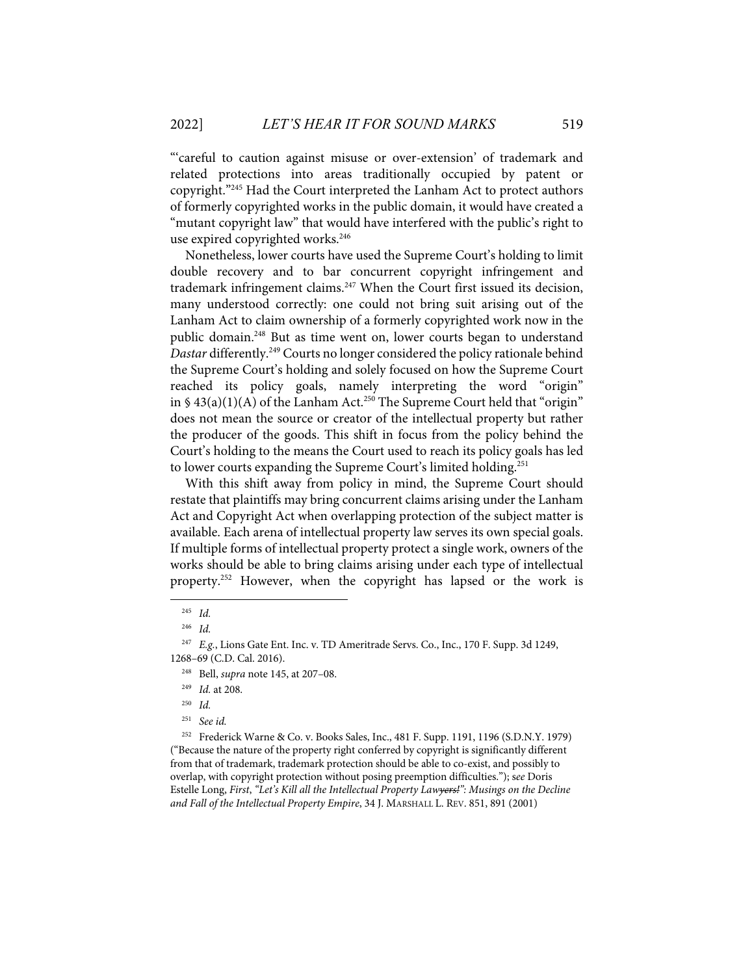"'careful to caution against misuse or over-extension' of trademark and related protections into areas traditionally occupied by patent or copyright."245 Had the Court interpreted the Lanham Act to protect authors of formerly copyrighted works in the public domain, it would have created a "mutant copyright law" that would have interfered with the public's right to use expired copyrighted works.<sup>246</sup>

Nonetheless, lower courts have used the Supreme Court's holding to limit double recovery and to bar concurrent copyright infringement and trademark infringement claims.<sup>247</sup> When the Court first issued its decision, many understood correctly: one could not bring suit arising out of the Lanham Act to claim ownership of a formerly copyrighted work now in the public domain.248 But as time went on, lower courts began to understand *Dastar* differently.249 Courts no longer considered the policy rationale behind the Supreme Court's holding and solely focused on how the Supreme Court reached its policy goals, namely interpreting the word "origin" in  $\frac{1}{2}$  43(a)(1)(A) of the Lanham Act.<sup>250</sup> The Supreme Court held that "origin" does not mean the source or creator of the intellectual property but rather the producer of the goods. This shift in focus from the policy behind the Court's holding to the means the Court used to reach its policy goals has led to lower courts expanding the Supreme Court's limited holding.<sup>251</sup>

With this shift away from policy in mind, the Supreme Court should restate that plaintiffs may bring concurrent claims arising under the Lanham Act and Copyright Act when overlapping protection of the subject matter is available. Each arena of intellectual property law serves its own special goals. If multiple forms of intellectual property protect a single work, owners of the works should be able to bring claims arising under each type of intellectual property. <sup>252</sup> However, when the copyright has lapsed or the work is

252 Frederick Warne & Co. v. Books Sales, Inc., 481 F. Supp. 1191, 1196 (S.D.N.Y. 1979) ("Because the nature of the property right conferred by copyright is significantly different from that of trademark, trademark protection should be able to co-exist, and possibly to overlap, with copyright protection without posing preemption difficulties."); s*ee* Doris Estelle Long, *First*, *"Let's Kill all the Intellectual Property Lawyers!": Musings on the Decline and Fall of the Intellectual Property Empire*, 34 J. MARSHALL L. REV. 851, 891 (2001)

<sup>245</sup> *Id.*

<sup>246</sup> *Id.*

<sup>247</sup> *E.g.*, Lions Gate Ent. Inc. v. TD Ameritrade Servs. Co., Inc., 170 F. Supp. 3d 1249, 1268–69 (C.D. Cal. 2016).

<sup>248</sup> Bell, *supra* note 145, at 207–08.

<sup>249</sup> *Id.* at 208.

<sup>250</sup> *Id.* 

<sup>251</sup> *See id.*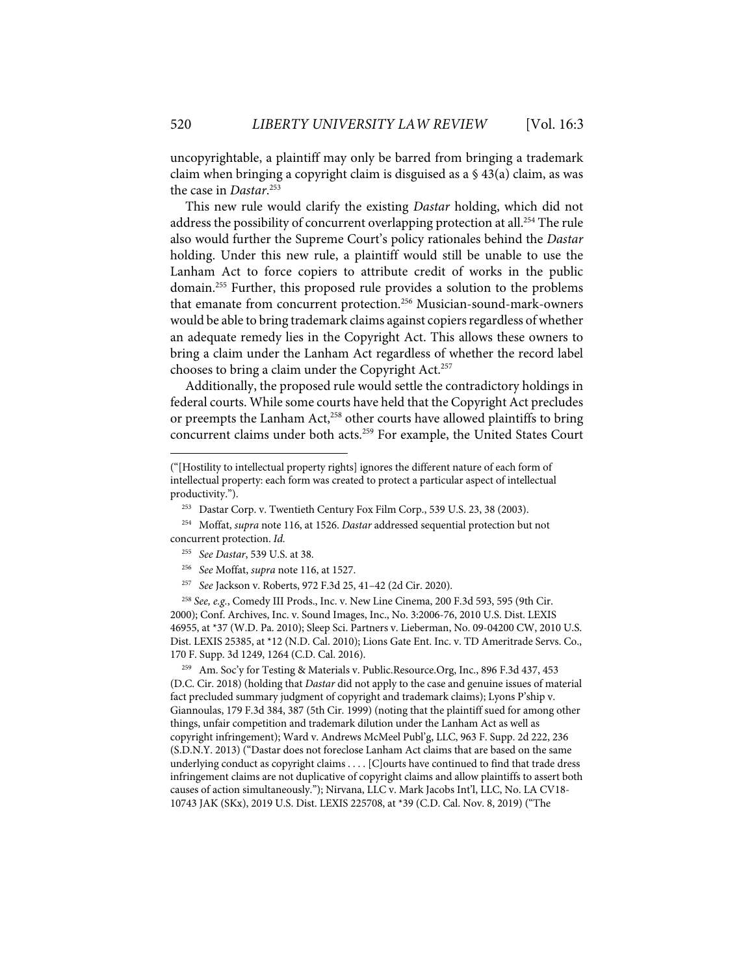uncopyrightable, a plaintiff may only be barred from bringing a trademark claim when bringing a copyright claim is disguised as a § 43(a) claim, as was the case in *Dastar*. 253

This new rule would clarify the existing *Dastar* holding, which did not address the possibility of concurrent overlapping protection at all.<sup>254</sup> The rule also would further the Supreme Court's policy rationales behind the *Dastar*  holding. Under this new rule, a plaintiff would still be unable to use the Lanham Act to force copiers to attribute credit of works in the public domain.255 Further, this proposed rule provides a solution to the problems that emanate from concurrent protection.<sup>256</sup> Musician-sound-mark-owners would be able to bring trademark claims against copiers regardless of whether an adequate remedy lies in the Copyright Act. This allows these owners to bring a claim under the Lanham Act regardless of whether the record label chooses to bring a claim under the Copyright Act.<sup>257</sup>

Additionally, the proposed rule would settle the contradictory holdings in federal courts. While some courts have held that the Copyright Act precludes or preempts the Lanham Act,<sup>258</sup> other courts have allowed plaintiffs to bring concurrent claims under both acts. <sup>259</sup> For example, the United States Court

259 Am. Soc'y for Testing & Materials v. Public.Resource.Org, Inc., 896 F.3d 437, 453 (D.C. Cir. 2018) (holding that *Dastar* did not apply to the case and genuine issues of material fact precluded summary judgment of copyright and trademark claims); Lyons P'ship v. Giannoulas, 179 F.3d 384, 387 (5th Cir. 1999) (noting that the plaintiff sued for among other things, unfair competition and trademark dilution under the Lanham Act as well as copyright infringement); Ward v. Andrews McMeel Publ'g, LLC, 963 F. Supp. 2d 222, 236 (S.D.N.Y. 2013) ("Dastar does not foreclose Lanham Act claims that are based on the same underlying conduct as copyright claims . . . . [C]ourts have continued to find that trade dress infringement claims are not duplicative of copyright claims and allow plaintiffs to assert both causes of action simultaneously."); Nirvana, LLC v. Mark Jacobs Int'l, LLC, No. LA CV18- 10743 JAK (SKx), 2019 U.S. Dist. LEXIS 225708, at \*39 (C.D. Cal. Nov. 8, 2019) ("The

<sup>(&</sup>quot;[Hostility to intellectual property rights] ignores the different nature of each form of intellectual property: each form was created to protect a particular aspect of intellectual productivity.").

<sup>253</sup> Dastar Corp. v. Twentieth Century Fox Film Corp., 539 U.S. 23, 38 (2003).

<sup>254</sup> Moffat, *supra* note 116, at 1526. *Dastar* addressed sequential protection but not concurrent protection. *Id.*

<sup>255</sup> *See Dastar*, 539 U.S. at 38.

<sup>256</sup> *See* Moffat, *supra* note 116, at 1527.

<sup>257</sup> *See* Jackson v. Roberts, 972 F.3d 25, 41–42 (2d Cir. 2020).

<sup>258</sup> *See, e.g.*, Comedy III Prods., Inc. v. New Line Cinema, 200 F.3d 593, 595 (9th Cir. 2000); Conf. Archives, Inc. v. Sound Images, Inc., No. 3:2006-76, 2010 U.S. Dist. LEXIS 46955, at \*37 (W.D. Pa. 2010); Sleep Sci. Partners v. Lieberman, No. 09-04200 CW, 2010 U.S. Dist. LEXIS 25385, at \*12 (N.D. Cal. 2010); Lions Gate Ent. Inc. v. TD Ameritrade Servs. Co., 170 F. Supp. 3d 1249, 1264 (C.D. Cal. 2016).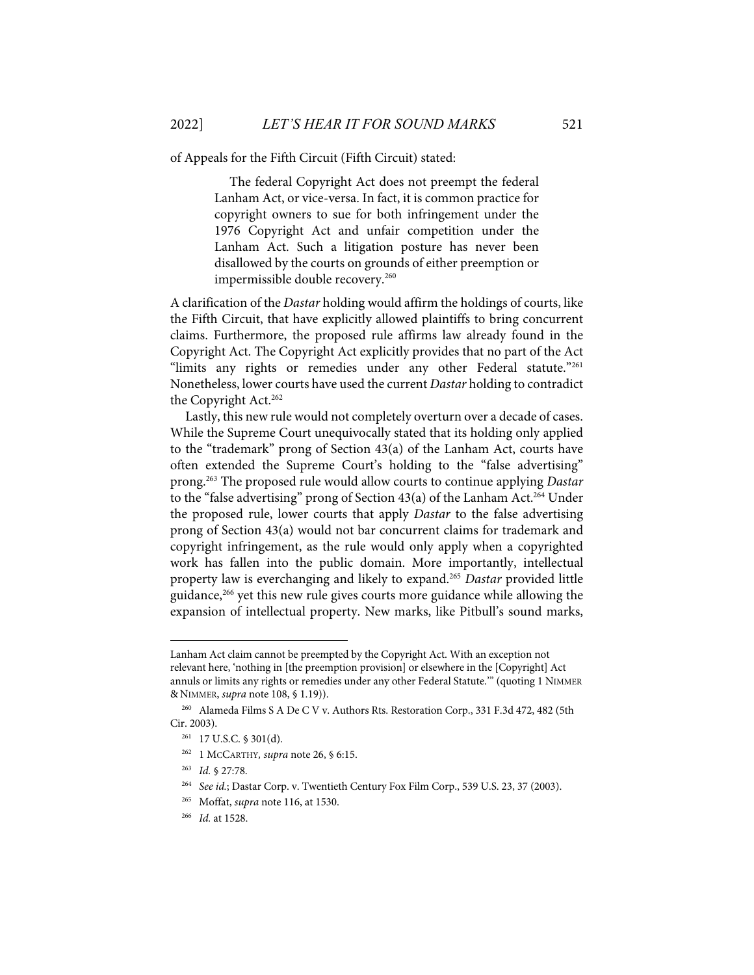of Appeals for the Fifth Circuit (Fifth Circuit) stated:

The federal Copyright Act does not preempt the federal Lanham Act, or vice-versa. In fact, it is common practice for copyright owners to sue for both infringement under the 1976 Copyright Act and unfair competition under the Lanham Act. Such a litigation posture has never been disallowed by the courts on grounds of either preemption or impermissible double recovery.<sup>260</sup>

A clarification of the *Dastar* holding would affirm the holdings of courts, like the Fifth Circuit, that have explicitly allowed plaintiffs to bring concurrent claims. Furthermore, the proposed rule affirms law already found in the Copyright Act. The Copyright Act explicitly provides that no part of the Act "limits any rights or remedies under any other Federal statute."261 Nonetheless, lower courts have used the current *Dastar* holding to contradict the Copyright Act.<sup>262</sup>

Lastly, this new rule would not completely overturn over a decade of cases. While the Supreme Court unequivocally stated that its holding only applied to the "trademark" prong of Section 43(a) of the Lanham Act, courts have often extended the Supreme Court's holding to the "false advertising" prong.263 The proposed rule would allow courts to continue applying *Dastar* to the "false advertising" prong of Section 43(a) of the Lanham Act.<sup>264</sup> Under the proposed rule, lower courts that apply *Dastar* to the false advertising prong of Section 43(a) would not bar concurrent claims for trademark and copyright infringement, as the rule would only apply when a copyrighted work has fallen into the public domain. More importantly, intellectual property law is everchanging and likely to expand.265 *Dastar* provided little guidance,<sup>266</sup> yet this new rule gives courts more guidance while allowing the expansion of intellectual property. New marks, like Pitbull's sound marks,

- 262 1 MCCARTHY*, supra* note 26, § 6:15.
- 263 *Id.* § 27:78.
- 264 *See id.*; Dastar Corp. v. Twentieth Century Fox Film Corp., 539 U.S. 23, 37 (2003).
- 265 Moffat, *supra* note 116, at 1530.
- 266 *Id.* at 1528.

Lanham Act claim cannot be preempted by the Copyright Act. With an exception not relevant here, 'nothing in [the preemption provision] or elsewhere in the [Copyright] Act annuls or limits any rights or remedies under any other Federal Statute.'" (quoting 1 NIMMER & NIMMER, *supra* note 108, § 1.19)).

<sup>260</sup> Alameda Films S A De C V v. Authors Rts. Restoration Corp., 331 F.3d 472, 482 (5th Cir. 2003).

<sup>261 17</sup> U.S.C. § 301(d).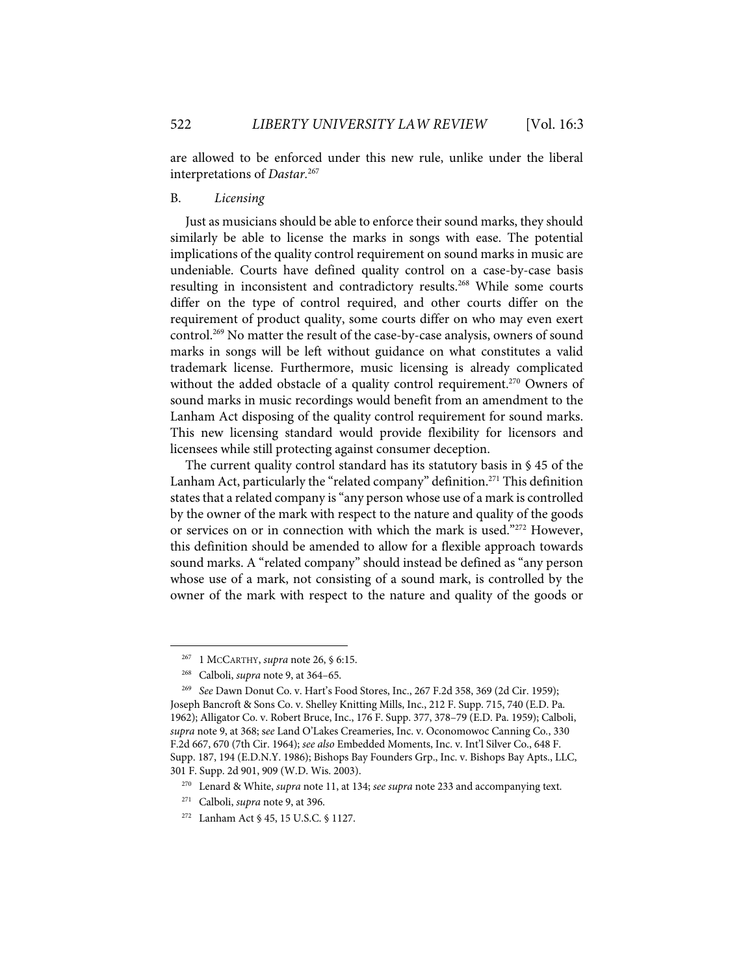are allowed to be enforced under this new rule, unlike under the liberal interpretations of *Dastar.*<sup>267</sup>

#### B. *Licensing*

Just as musicians should be able to enforce their sound marks, they should similarly be able to license the marks in songs with ease. The potential implications of the quality control requirement on sound marks in music are undeniable. Courts have defined quality control on a case-by-case basis resulting in inconsistent and contradictory results.<sup>268</sup> While some courts differ on the type of control required, and other courts differ on the requirement of product quality, some courts differ on who may even exert control. <sup>269</sup> No matter the result of the case-by-case analysis, owners of sound marks in songs will be left without guidance on what constitutes a valid trademark license. Furthermore, music licensing is already complicated without the added obstacle of a quality control requirement.<sup>270</sup> Owners of sound marks in music recordings would benefit from an amendment to the Lanham Act disposing of the quality control requirement for sound marks. This new licensing standard would provide flexibility for licensors and licensees while still protecting against consumer deception.

The current quality control standard has its statutory basis in § 45 of the Lanham Act, particularly the "related company" definition.<sup>271</sup> This definition states that a related company is"any person whose use of a mark is controlled by the owner of the mark with respect to the nature and quality of the goods or services on or in connection with which the mark is used."272 However, this definition should be amended to allow for a flexible approach towards sound marks. A "related company" should instead be defined as "any person whose use of a mark, not consisting of a sound mark, is controlled by the owner of the mark with respect to the nature and quality of the goods or

<sup>267 1</sup> MCCARTHY, *supra* note 26, § 6:15.

<sup>268</sup> Calboli, *supra* note 9, at 364–65.

<sup>269</sup> *See* Dawn Donut Co. v. Hart's Food Stores, Inc., 267 F.2d 358, 369 (2d Cir. 1959); Joseph Bancroft & Sons Co. v. Shelley Knitting Mills, Inc., 212 F. Supp. 715, 740 (E.D. Pa. 1962); Alligator Co. v. Robert Bruce, Inc., 176 F. Supp. 377, 378–79 (E.D. Pa. 1959); Calboli, *supra* note 9, at 368; s*ee* Land O'Lakes Creameries, Inc. v. Oconomowoc Canning Co*.*, 330 F.2d 667, 670 (7th Cir. 1964); *see also* Embedded Moments, Inc. v. Int'l Silver Co., 648 F. Supp. 187, 194 (E.D.N.Y. 1986); Bishops Bay Founders Grp., Inc. v. Bishops Bay Apts., LLC, 301 F. Supp. 2d 901, 909 (W.D. Wis. 2003).

<sup>270</sup> Lenard & White, *supra* note 11, at 134; *see supra* note 233 and accompanying text.

<sup>271</sup> Calboli, *supra* note 9, at 396.

<sup>272</sup> Lanham Act § 45, 15 U.S.C. § 1127.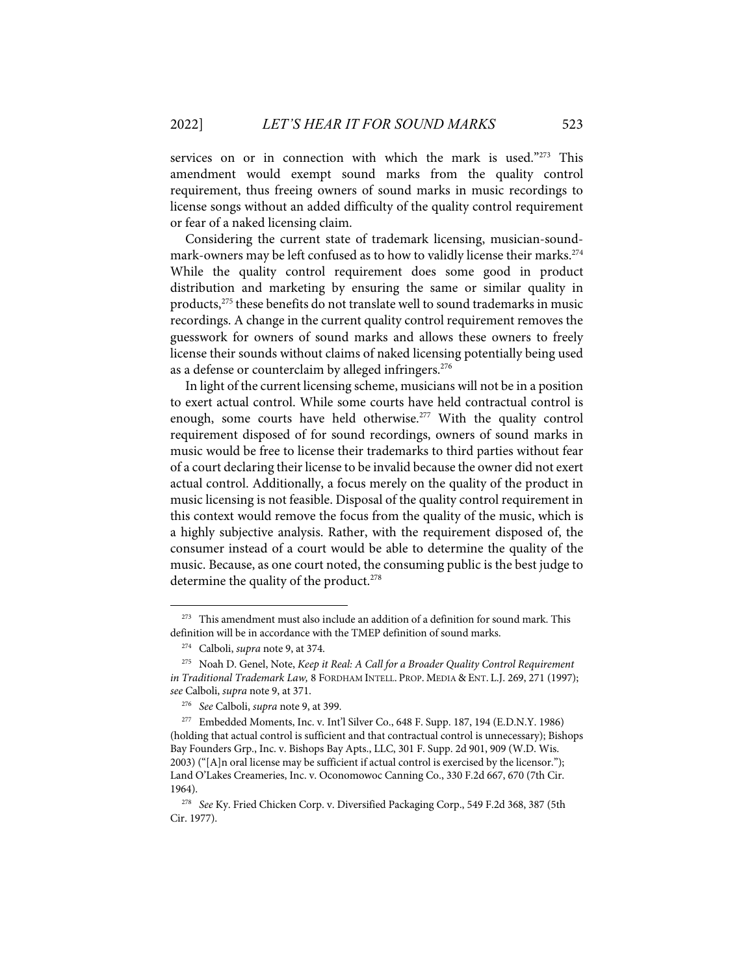services on or in connection with which the mark is used."273 This amendment would exempt sound marks from the quality control requirement, thus freeing owners of sound marks in music recordings to license songs without an added difficulty of the quality control requirement or fear of a naked licensing claim.

Considering the current state of trademark licensing, musician-soundmark-owners may be left confused as to how to validly license their marks. 274 While the quality control requirement does some good in product distribution and marketing by ensuring the same or similar quality in products,<sup>275</sup> these benefits do not translate well to sound trademarks in music recordings. A change in the current quality control requirement removes the guesswork for owners of sound marks and allows these owners to freely license their sounds without claims of naked licensing potentially being used as a defense or counterclaim by alleged infringers.<sup>276</sup>

In light of the current licensing scheme, musicians will not be in a position to exert actual control. While some courts have held contractual control is enough, some courts have held otherwise.<sup>277</sup> With the quality control requirement disposed of for sound recordings, owners of sound marks in music would be free to license their trademarks to third parties without fear of a court declaring their license to be invalid because the owner did not exert actual control. Additionally, a focus merely on the quality of the product in music licensing is not feasible. Disposal of the quality control requirement in this context would remove the focus from the quality of the music, which is a highly subjective analysis. Rather, with the requirement disposed of, the consumer instead of a court would be able to determine the quality of the music. Because, as one court noted, the consuming public is the best judge to determine the quality of the product.<sup>278</sup>

 $273$  This amendment must also include an addition of a definition for sound mark. This definition will be in accordance with the TMEP definition of sound marks.

<sup>274</sup> Calboli, *supra* note 9, at 374.

<sup>275</sup> Noah D. Genel, Note, *Keep it Real: A Call for a Broader Quality Control Requirement in Traditional Trademark Law,* 8 FORDHAM INTELL. PROP. MEDIA & ENT. L.J. 269, 271 (1997); *see* Calboli, *supra* note 9, at 371.

<sup>276</sup> *See* Calboli, *supra* note 9, at 399.

<sup>277</sup> Embedded Moments, Inc. v. Int'l Silver Co., 648 F. Supp. 187, 194 (E.D.N.Y. 1986) (holding that actual control is sufficient and that contractual control is unnecessary); Bishops Bay Founders Grp., Inc. v. Bishops Bay Apts., LLC, 301 F. Supp. 2d 901, 909 (W.D. Wis. 2003) ("[A]n oral license may be sufficient if actual control is exercised by the licensor."); Land O'Lakes Creameries, Inc. v. Oconomowoc Canning Co., 330 F.2d 667, 670 (7th Cir. 1964).

<sup>278</sup> *See* Ky. Fried Chicken Corp. v. Diversified Packaging Corp., 549 F.2d 368, 387 (5th Cir. 1977).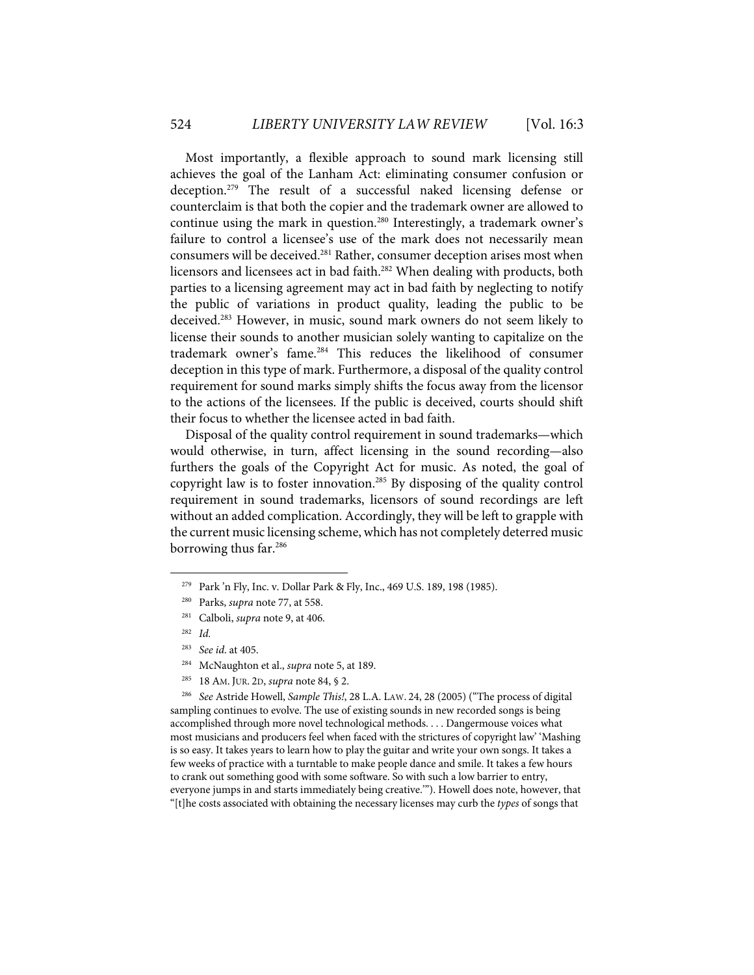Most importantly, a flexible approach to sound mark licensing still achieves the goal of the Lanham Act: eliminating consumer confusion or deception.279 The result of a successful naked licensing defense or counterclaim is that both the copier and the trademark owner are allowed to continue using the mark in question.<sup>280</sup> Interestingly, a trademark owner's failure to control a licensee's use of the mark does not necessarily mean consumers will be deceived.<sup>281</sup> Rather, consumer deception arises most when licensors and licensees act in bad faith.282 When dealing with products, both parties to a licensing agreement may act in bad faith by neglecting to notify the public of variations in product quality, leading the public to be deceived. <sup>283</sup> However, in music, sound mark owners do not seem likely to license their sounds to another musician solely wanting to capitalize on the trademark owner's fame.284 This reduces the likelihood of consumer deception in this type of mark. Furthermore, a disposal of the quality control requirement for sound marks simply shifts the focus away from the licensor to the actions of the licensees. If the public is deceived, courts should shift their focus to whether the licensee acted in bad faith.

Disposal of the quality control requirement in sound trademarks—which would otherwise, in turn, affect licensing in the sound recording—also furthers the goals of the Copyright Act for music. As noted, the goal of copyright law is to foster innovation.285 By disposing of the quality control requirement in sound trademarks, licensors of sound recordings are left without an added complication. Accordingly, they will be left to grapple with the current music licensing scheme, which has not completely deterred music borrowing thus far.<sup>286</sup>

- 284 McNaughton et al., *supra* note 5, at 189.
- 285 18 AM. JUR. 2D, *supra* note 84, § 2.

286 *See* Astride Howell, *Sample This!*, 28 L.A. LAW. 24, 28 (2005) ("The process of digital sampling continues to evolve. The use of existing sounds in new recorded songs is being accomplished through more novel technological methods. . . . Dangermouse voices what most musicians and producers feel when faced with the strictures of copyright law' 'Mashing is so easy. It takes years to learn how to play the guitar and write your own songs. It takes a few weeks of practice with a turntable to make people dance and smile. It takes a few hours to crank out something good with some software. So with such a low barrier to entry, everyone jumps in and starts immediately being creative.'"). Howell does note, however, that "[t]he costs associated with obtaining the necessary licenses may curb the *types* of songs that

<sup>&</sup>lt;sup>279</sup> Park 'n Fly, Inc. v. Dollar Park & Fly, Inc., 469 U.S. 189, 198 (1985).

<sup>280</sup> Parks, *supra* note 77, at 558.

<sup>281</sup> Calboli, *supra* note 9, at 406.

<sup>282</sup> *Id.*

<sup>283</sup> *See id*. at 405.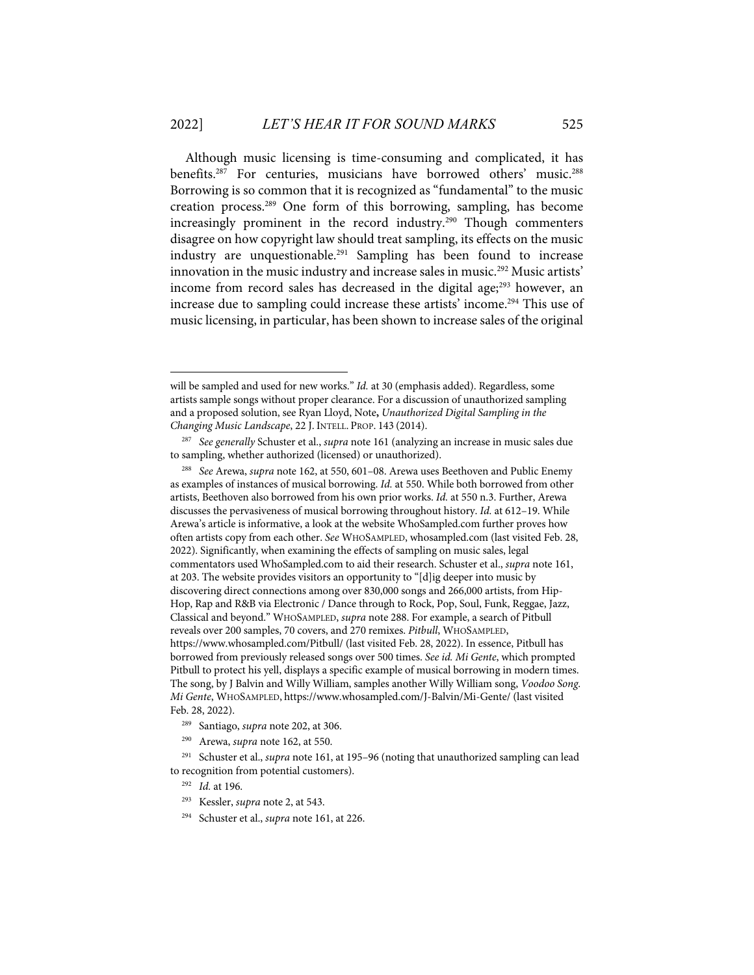Although music licensing is time-consuming and complicated, it has benefits.<sup>287</sup> For centuries, musicians have borrowed others' music.<sup>288</sup> Borrowing is so common that it is recognized as "fundamental" to the music creation process.289 One form of this borrowing, sampling, has become increasingly prominent in the record industry. <sup>290</sup> Though commenters disagree on how copyright law should treat sampling, its effects on the music industry are unquestionable.<sup>291</sup> Sampling has been found to increase innovation in the music industry and increase sales in music.<sup>292</sup> Music artists' income from record sales has decreased in the digital age; $293$  however, an increase due to sampling could increase these artists' income. <sup>294</sup> This use of music licensing, in particular, has been shown to increase sales of the original

will be sampled and used for new works." *Id.* at 30 (emphasis added). Regardless, some artists sample songs without proper clearance. For a discussion of unauthorized sampling and a proposed solution, see Ryan Lloyd, Note**,** *Unauthorized Digital Sampling in the Changing Music Landscape*, 22 J. INTELL. PROP. 143 (2014).

<sup>287</sup> *See generally* Schuster et al., *supra* note 161 (analyzing an increase in music sales due to sampling, whether authorized (licensed) or unauthorized).

<sup>288</sup> *See* Arewa, *supra* note 162, at 550, 601–08. Arewa uses Beethoven and Public Enemy as examples of instances of musical borrowing. *Id.* at 550. While both borrowed from other artists, Beethoven also borrowed from his own prior works. *Id.* at 550 n.3. Further, Arewa discusses the pervasiveness of musical borrowing throughout history. *Id.* at 612–19. While Arewa's article is informative, a look at the website WhoSampled.com further proves how often artists copy from each other. *See* WHOSAMPLED, whosampled.com (last visited Feb. 28, 2022). Significantly, when examining the effects of sampling on music sales, legal commentators used WhoSampled.com to aid their research. Schuster et al., *supra* note 161, at 203. The website provides visitors an opportunity to "[d]ig deeper into music by discovering direct connections among over 830,000 songs and 266,000 artists, from Hip-Hop, Rap and R&B via Electronic / Dance through to Rock, Pop, Soul, Funk, Reggae, Jazz, Classical and beyond." WHOSAMPLED, *supra* note 288. For example, a search of Pitbull reveals over 200 samples, 70 covers, and 270 remixes. *Pitbull*, WHOSAMPLED, https://www.whosampled.com/Pitbull/ (last visited Feb. 28, 2022). In essence, Pitbull has borrowed from previously released songs over 500 times. *See id. Mi Gente*, which prompted Pitbull to protect his yell, displays a specific example of musical borrowing in modern times. The song, by J Balvin and Willy William, samples another Willy William song, *Voodoo Song*. *Mi Gente*, WHOSAMPLED, https://www.whosampled.com/J-Balvin/Mi-Gente/ (last visited Feb. 28, 2022).

<sup>289</sup> Santiago, *supra* note 202, at 306.

<sup>290</sup> Arewa, *supra* note 162, at 550.

<sup>291</sup> Schuster et al., *supra* note 161, at 195–96 (noting that unauthorized sampling can lead to recognition from potential customers).

<sup>292</sup> *Id.* at 196.

<sup>293</sup> Kessler, *supra* note 2, at 543.

<sup>294</sup> Schuster et al., *supra* note 161, at 226.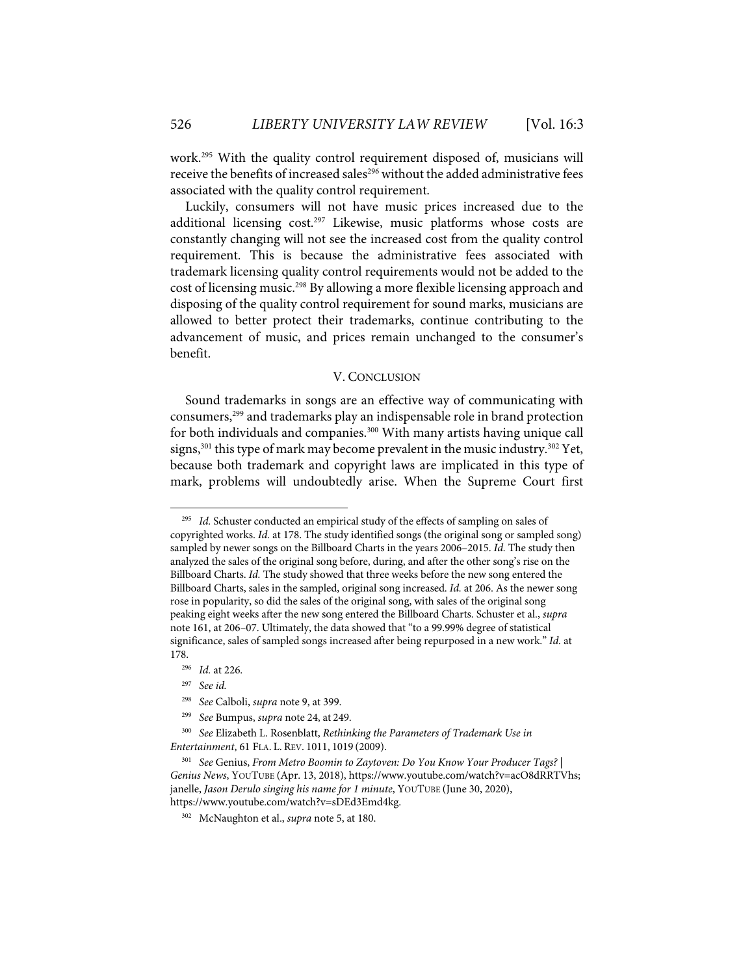work.295 With the quality control requirement disposed of, musicians will receive the benefits of increased sales<sup>296</sup> without the added administrative fees associated with the quality control requirement.

Luckily, consumers will not have music prices increased due to the additional licensing  $cost.^{297}$  Likewise, music platforms whose costs are constantly changing will not see the increased cost from the quality control requirement. This is because the administrative fees associated with trademark licensing quality control requirements would not be added to the cost of licensing music.298 By allowing a more flexible licensing approach and disposing of the quality control requirement for sound marks, musicians are allowed to better protect their trademarks, continue contributing to the advancement of music, and prices remain unchanged to the consumer's benefit.

#### V. CONCLUSION

Sound trademarks in songs are an effective way of communicating with consumers,299 and trademarks play an indispensable role in brand protection for both individuals and companies.<sup>300</sup> With many artists having unique call signs,<sup>301</sup> this type of mark may become prevalent in the music industry.<sup>302</sup> Yet, because both trademark and copyright laws are implicated in this type of mark, problems will undoubtedly arise. When the Supreme Court first

Id. Schuster conducted an empirical study of the effects of sampling on sales of copyrighted works. *Id.* at 178. The study identified songs (the original song or sampled song) sampled by newer songs on the Billboard Charts in the years 2006–2015. *Id.* The study then analyzed the sales of the original song before, during, and after the other song's rise on the Billboard Charts. *Id.* The study showed that three weeks before the new song entered the Billboard Charts, sales in the sampled, original song increased. *Id.* at 206. As the newer song rose in popularity, so did the sales of the original song, with sales of the original song peaking eight weeks after the new song entered the Billboard Charts. Schuster et al., *supra*  note 161, at 206–07. Ultimately, the data showed that "to a 99.99% degree of statistical significance, sales of sampled songs increased after being repurposed in a new work." *Id.* at 178.

<sup>296</sup> *Id.* at 226.

<sup>297</sup> *See id.*

<sup>298</sup> *See* Calboli, *supra* note 9, at 399.

<sup>299</sup> *See* Bumpus, *supra* note 24, at 249.

<sup>300</sup> *See* Elizabeth L. Rosenblatt, *Rethinking the Parameters of Trademark Use in Entertainment*, 61 FLA. L. REV. 1011, 1019 (2009).

<sup>301</sup> *See* Genius, *From Metro Boomin to Zaytoven: Do You Know Your Producer Tags? | Genius News*, YOUTUBE (Apr. 13, 2018), https://www.youtube.com/watch?v=acO8dRRTVhs; janelle, *Jason Derulo singing his name for 1 minute*, YOUTUBE (June 30, 2020), https://www.youtube.com/watch?v=sDEd3Emd4kg.

<sup>302</sup> McNaughton et al., *supra* note 5, at 180.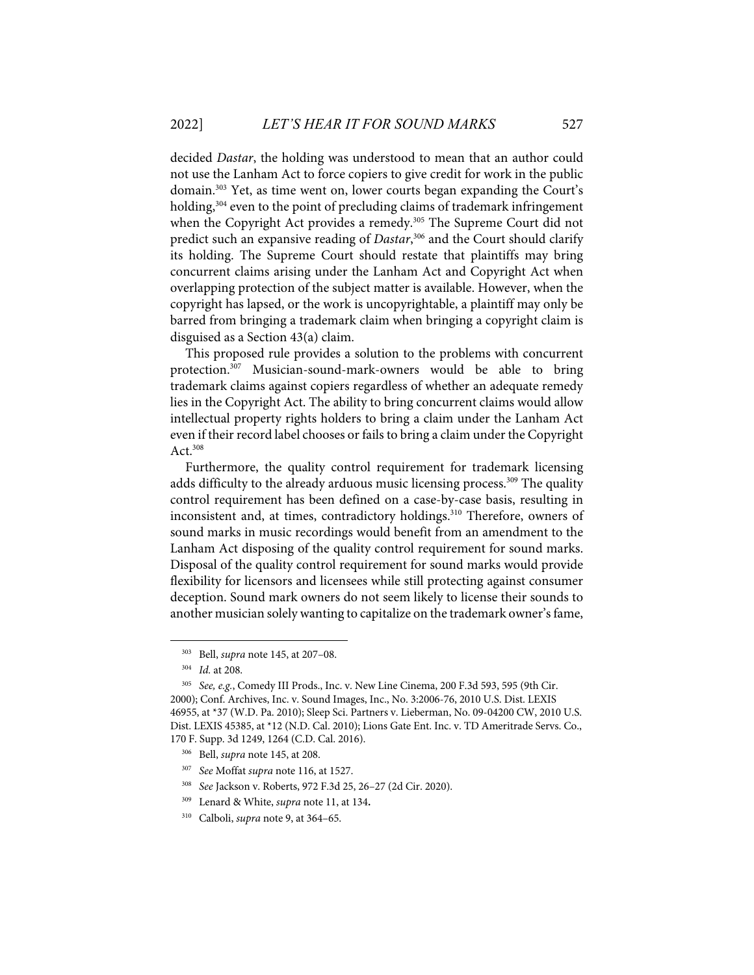decided *Dastar*, the holding was understood to mean that an author could not use the Lanham Act to force copiers to give credit for work in the public domain.303 Yet, as time went on, lower courts began expanding the Court's holding,<sup>304</sup> even to the point of precluding claims of trademark infringement when the Copyright Act provides a remedy.<sup>305</sup> The Supreme Court did not predict such an expansive reading of *Dastar*, <sup>306</sup> and the Court should clarify its holding. The Supreme Court should restate that plaintiffs may bring concurrent claims arising under the Lanham Act and Copyright Act when overlapping protection of the subject matter is available. However, when the copyright has lapsed, or the work is uncopyrightable, a plaintiff may only be barred from bringing a trademark claim when bringing a copyright claim is disguised as a Section 43(a) claim.

This proposed rule provides a solution to the problems with concurrent protection.307 Musician-sound-mark-owners would be able to bring trademark claims against copiers regardless of whether an adequate remedy lies in the Copyright Act. The ability to bring concurrent claims would allow intellectual property rights holders to bring a claim under the Lanham Act even if their record label chooses or fails to bring a claim under the Copyright Act. $308$ 

Furthermore, the quality control requirement for trademark licensing adds difficulty to the already arduous music licensing process. <sup>309</sup> The quality control requirement has been defined on a case-by-case basis, resulting in inconsistent and, at times, contradictory holdings.<sup>310</sup> Therefore, owners of sound marks in music recordings would benefit from an amendment to the Lanham Act disposing of the quality control requirement for sound marks. Disposal of the quality control requirement for sound marks would provide flexibility for licensors and licensees while still protecting against consumer deception. Sound mark owners do not seem likely to license their sounds to another musician solely wanting to capitalize on the trademark owner's fame,

- 307 *See* Moffat *supra* note 116, at 1527.
- 308 *See* Jackson v. Roberts, 972 F.3d 25, 26–27 (2d Cir. 2020).
- 309 Lenard & White, *supra* note 11, at 134**.**

<sup>303</sup> Bell, *supra* note 145, at 207–08.

<sup>304</sup> *Id.* at 208.

<sup>305</sup> *See, e.g.*, Comedy III Prods., Inc. v. New Line Cinema, 200 F.3d 593, 595 (9th Cir. 2000); Conf. Archives, Inc. v. Sound Images, Inc., No. 3:2006-76, 2010 U.S. Dist. LEXIS 46955, at \*37 (W.D. Pa. 2010); Sleep Sci. Partners v. Lieberman, No. 09-04200 CW, 2010 U.S. Dist. LEXIS 45385, at \*12 (N.D. Cal. 2010); Lions Gate Ent. Inc. v. TD Ameritrade Servs. Co., 170 F. Supp. 3d 1249, 1264 (C.D. Cal. 2016).

<sup>306</sup> Bell, *supra* note 145, at 208.

<sup>310</sup> Calboli, *supra* note 9, at 364–65.